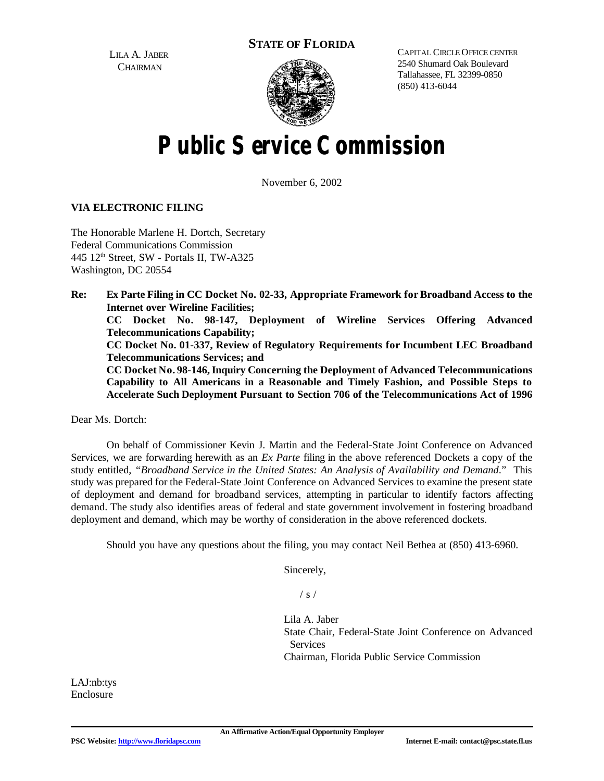**STATE OF FLORIDA**

LILA A. JABER **CHAIRMAN** 



CAPITAL CIRCLE OFFICE CENTER 2540 Shumard Oak Boulevard Tallahassee, FL 32399-0850 (850) 413-6044

# **Public Service Commission**

November 6, 2002

#### **VIA ELECTRONIC FILING**

The Honorable Marlene H. Dortch, Secretary Federal Communications Commission  $445$  12<sup>th</sup> Street, SW - Portals II, TW-A325 Washington, DC 20554

**Re: Ex Parte Filing in CC Docket No. 02-33, Appropriate Framework forBroadband Access to the Internet over Wireline Facilities; CC Docket No. 98-147, Deployment of Wireline Services Offering Advanced Telecommunications Capability; CC Docket No. 01-337, Review of Regulatory Requirements for Incumbent LEC Broadband Telecommunications Services; and CC Docket No. 98-146,Inquiry Concerning the Deployment of Advanced Telecommunications Capability to All Americans in a Reasonable and Timely Fashion, and Possible Steps to Accelerate Such Deployment Pursuant to Section 706 of the Telecommunications Act of 1996**

Dear Ms. Dortch:

On behalf of Commissioner Kevin J. Martin and the Federal-State Joint Conference on Advanced Services, we are forwarding herewith as an *Ex Parte* filing in the above referenced Dockets a copy of the study entitled, *"Broadband Service in the United States: An Analysis of Availability and Demand*." This study was prepared for the Federal-State Joint Conference on Advanced Services to examine the present state of deployment and demand for broadband services, attempting in particular to identify factors affecting demand. The study also identifies areas of federal and state government involvement in fostering broadband deployment and demand, which may be worthy of consideration in the above referenced dockets.

Should you have any questions about the filing, you may contact Neil Bethea at (850) 413-6960.

Sincerely,

 $/ s /$ 

Lila A. Jaber State Chair, Federal-State Joint Conference on Advanced **Services** Chairman, Florida Public Service Commission

LAJ:nb:tys Enclosure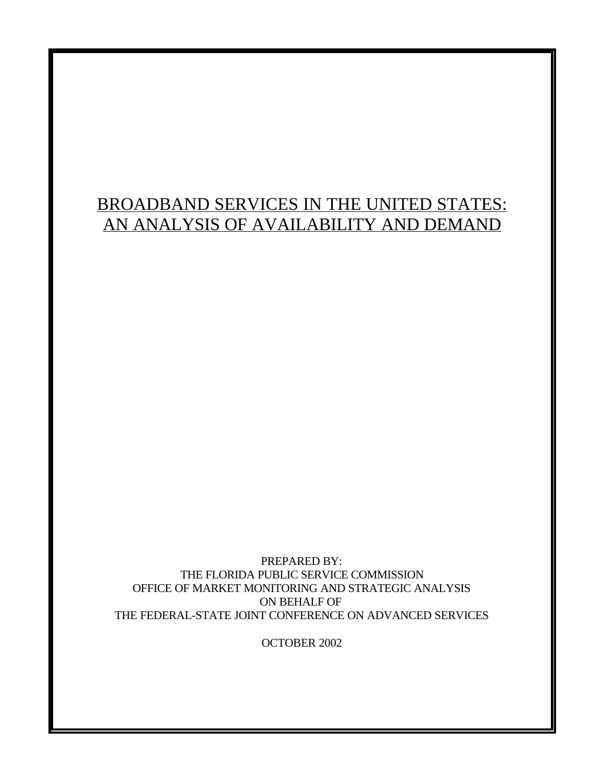# BROADBAND SERVICES IN THE UNITED STATES: AN ANALYSIS OF AVAILABILITY AND DEMAND

PREPARED BY: THE FLORIDA PUBLIC SERVICE COMMISSION OFFICE OF MARKET MONITORING AND STRATEGIC ANALYSIS ON BEHALF OF THE FEDERAL-STATE JOINT CONFERENCE ON ADVANCED SERVICES

OCTOBER 2002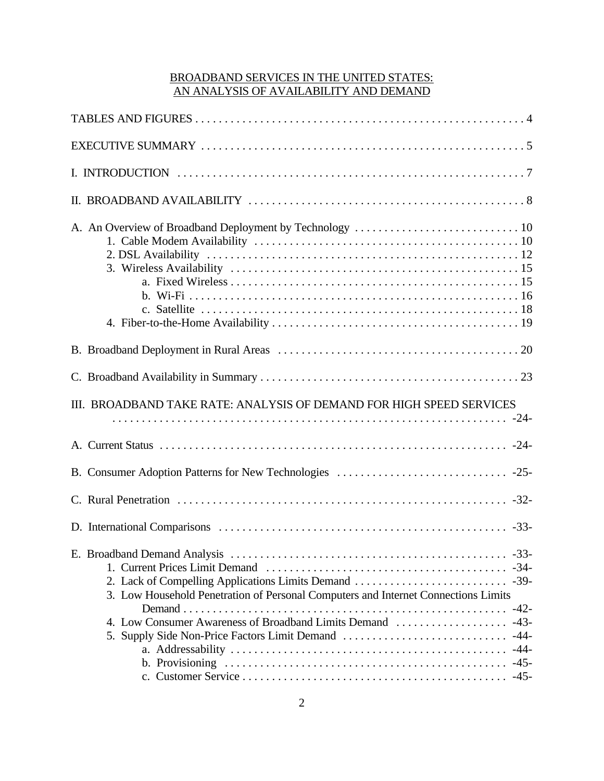# BROADBAND SERVICES IN THE UNITED STATES: AN ANALYSIS OF AVAILABILITY AND DEMAND

| III. BROADBAND TAKE RATE: ANALYSIS OF DEMAND FOR HIGH SPEED SERVICES                                                                             |
|--------------------------------------------------------------------------------------------------------------------------------------------------|
|                                                                                                                                                  |
|                                                                                                                                                  |
|                                                                                                                                                  |
|                                                                                                                                                  |
| 3. Low Household Penetration of Personal Computers and Internet Connections Limits<br>4. Low Consumer Awareness of Broadband Limits Demand  -43- |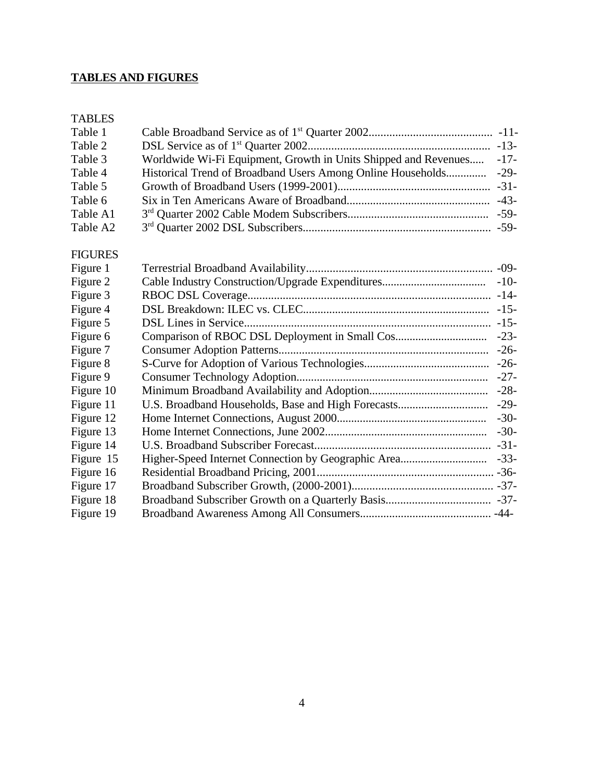# **TABLES AND FIGURES**

## TABLES

| Table 1  |                                                                      |  |
|----------|----------------------------------------------------------------------|--|
| Table 2  |                                                                      |  |
| Table 3  | Worldwide Wi-Fi Equipment, Growth in Units Shipped and Revenues -17- |  |
| Table 4  |                                                                      |  |
| Table 5  |                                                                      |  |
| Table 6  |                                                                      |  |
| Table A1 |                                                                      |  |
| Table A2 |                                                                      |  |

# FIGURES

| $-10-$ |
|--------|
| $-14-$ |
| $-15-$ |
| $-15-$ |
| $-23-$ |
| $-26-$ |
| $-26-$ |
| $-27-$ |
| $-28-$ |
| $-29-$ |
| $-30-$ |
| $-30-$ |
| $-31-$ |
| $-33-$ |
|        |
|        |
|        |
|        |
|        |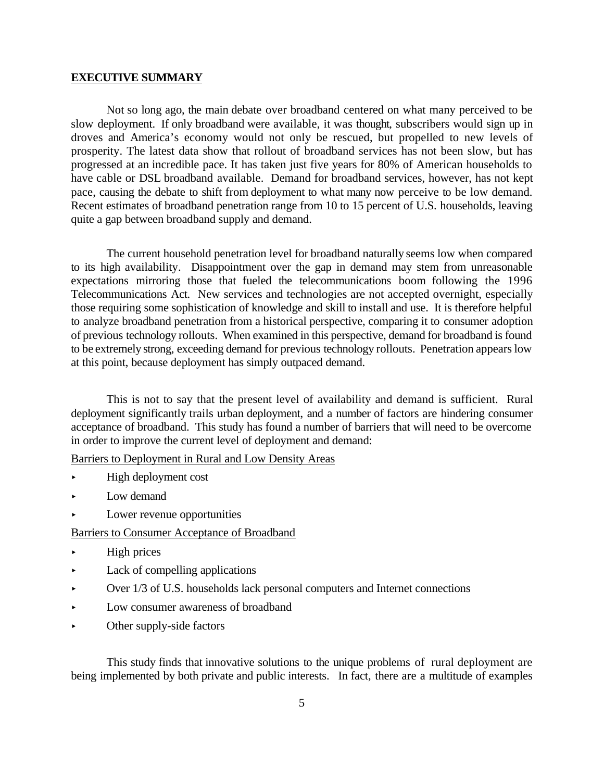#### **EXECUTIVE SUMMARY**

Not so long ago, the main debate over broadband centered on what many perceived to be slow deployment. If only broadband were available, it was thought, subscribers would sign up in droves and America's economy would not only be rescued, but propelled to new levels of prosperity. The latest data show that rollout of broadband services has not been slow, but has progressed at an incredible pace. It has taken just five years for 80% of American households to have cable or DSL broadband available. Demand for broadband services, however, has not kept pace, causing the debate to shift from deployment to what many now perceive to be low demand. Recent estimates of broadband penetration range from 10 to 15 percent of U.S. households, leaving quite a gap between broadband supply and demand.

The current household penetration level for broadband naturally seems low when compared to its high availability. Disappointment over the gap in demand may stem from unreasonable expectations mirroring those that fueled the telecommunications boom following the 1996 Telecommunications Act. New services and technologies are not accepted overnight, especially those requiring some sophistication of knowledge and skill to install and use. It is therefore helpful to analyze broadband penetration from a historical perspective, comparing it to consumer adoption of previous technology rollouts. When examined in this perspective, demand for broadband is found to be extremely strong, exceeding demand for previous technology rollouts. Penetration appears low at this point, because deployment has simply outpaced demand.

This is not to say that the present level of availability and demand is sufficient. Rural deployment significantly trails urban deployment, and a number of factors are hindering consumer acceptance of broadband. This study has found a number of barriers that will need to be overcome in order to improve the current level of deployment and demand:

Barriers to Deployment in Rural and Low Density Areas

- < High deployment cost
- $\blacktriangleright$  Low demand
- < Lower revenue opportunities

#### Barriers to Consumer Acceptance of Broadband

- < High prices
- $\blacktriangleright$  Lack of compelling applications
- $\triangleright$  Over 1/3 of U.S. households lack personal computers and Internet connections
- < Low consumer awareness of broadband
- Other supply-side factors

This study finds that innovative solutions to the unique problems of rural deployment are being implemented by both private and public interests. In fact, there are a multitude of examples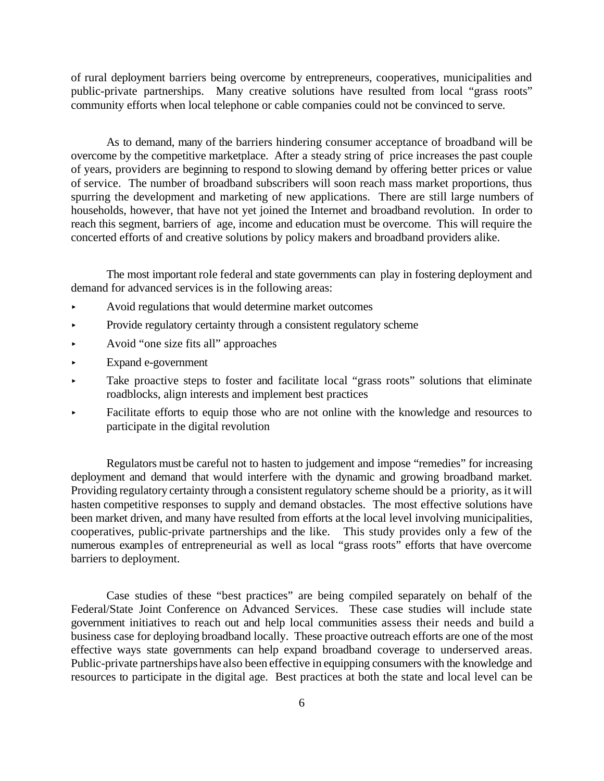of rural deployment barriers being overcome by entrepreneurs, cooperatives, municipalities and public-private partnerships. Many creative solutions have resulted from local "grass roots" community efforts when local telephone or cable companies could not be convinced to serve.

As to demand, many of the barriers hindering consumer acceptance of broadband will be overcome by the competitive marketplace. After a steady string of price increases the past couple of years, providers are beginning to respond to slowing demand by offering better prices or value of service. The number of broadband subscribers will soon reach mass market proportions, thus spurring the development and marketing of new applications. There are still large numbers of households, however, that have not yet joined the Internet and broadband revolution. In order to reach this segment, barriers of age, income and education must be overcome. This will require the concerted efforts of and creative solutions by policy makers and broadband providers alike.

The most important role federal and state governments can play in fostering deployment and demand for advanced services is in the following areas:

- < Avoid regulations that would determine market outcomes
- Provide regulatory certainty through a consistent regulatory scheme
- < Avoid "one size fits all" approaches
- < Expand e-government
- < Take proactive steps to foster and facilitate local "grass roots" solutions that eliminate roadblocks, align interests and implement best practices
- < Facilitate efforts to equip those who are not online with the knowledge and resources to participate in the digital revolution

Regulators must be careful not to hasten to judgement and impose "remedies" for increasing deployment and demand that would interfere with the dynamic and growing broadband market. Providing regulatory certainty through a consistent regulatory scheme should be a priority, as it will hasten competitive responses to supply and demand obstacles. The most effective solutions have been market driven, and many have resulted from efforts at the local level involving municipalities, cooperatives, public-private partnerships and the like. This study provides only a few of the numerous examples of entrepreneurial as well as local "grass roots" efforts that have overcome barriers to deployment.

Case studies of these "best practices" are being compiled separately on behalf of the Federal/State Joint Conference on Advanced Services. These case studies will include state government initiatives to reach out and help local communities assess their needs and build a business case for deploying broadband locally. These proactive outreach efforts are one of the most effective ways state governments can help expand broadband coverage to underserved areas. Public-private partnerships have also been effective in equipping consumers with the knowledge and resources to participate in the digital age. Best practices at both the state and local level can be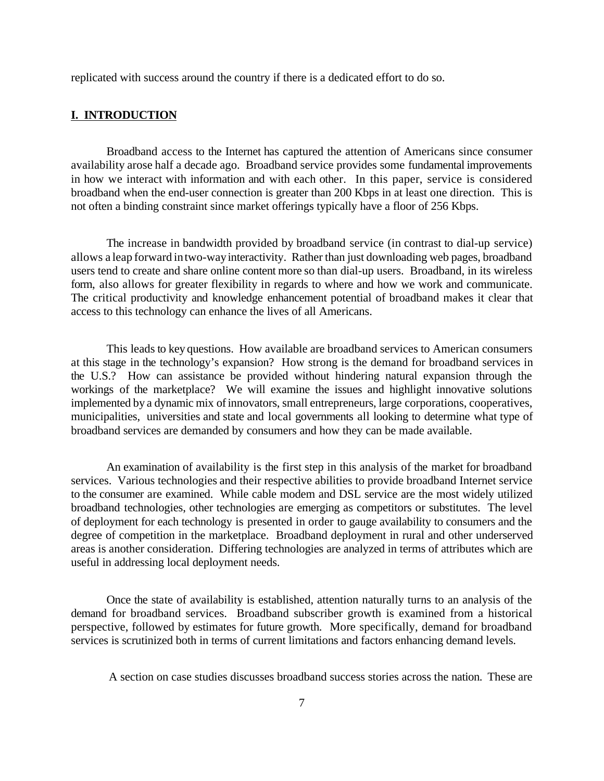replicated with success around the country if there is a dedicated effort to do so.

#### **I. INTRODUCTION**

Broadband access to the Internet has captured the attention of Americans since consumer availability arose half a decade ago. Broadband service provides some fundamental improvements in how we interact with information and with each other. In this paper, service is considered broadband when the end-user connection is greater than 200 Kbps in at least one direction. This is not often a binding constraint since market offerings typically have a floor of 256 Kbps.

The increase in bandwidth provided by broadband service (in contrast to dial-up service) allows a leap forward intwo-wayinteractivity. Rather than just downloading web pages, broadband users tend to create and share online content more so than dial-up users. Broadband, in its wireless form, also allows for greater flexibility in regards to where and how we work and communicate. The critical productivity and knowledge enhancement potential of broadband makes it clear that access to this technology can enhance the lives of all Americans.

This leads to key questions. How available are broadband services to American consumers at this stage in the technology's expansion? How strong is the demand for broadband services in the U.S.? How can assistance be provided without hindering natural expansion through the workings of the marketplace? We will examine the issues and highlight innovative solutions implemented by a dynamic mix of innovators, small entrepreneurs, large corporations, cooperatives, municipalities, universities and state and local governments all looking to determine what type of broadband services are demanded by consumers and how they can be made available.

An examination of availability is the first step in this analysis of the market for broadband services. Various technologies and their respective abilities to provide broadband Internet service to the consumer are examined. While cable modem and DSL service are the most widely utilized broadband technologies, other technologies are emerging as competitors or substitutes. The level of deployment for each technology is presented in order to gauge availability to consumers and the degree of competition in the marketplace. Broadband deployment in rural and other underserved areas is another consideration. Differing technologies are analyzed in terms of attributes which are useful in addressing local deployment needs.

Once the state of availability is established, attention naturally turns to an analysis of the demand for broadband services. Broadband subscriber growth is examined from a historical perspective, followed by estimates for future growth. More specifically, demand for broadband services is scrutinized both in terms of current limitations and factors enhancing demand levels.

A section on case studies discusses broadband success stories across the nation. These are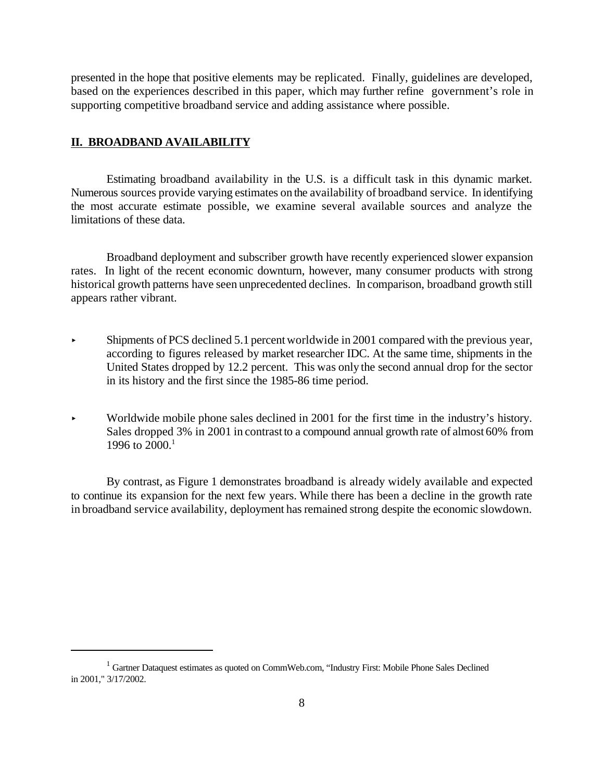presented in the hope that positive elements may be replicated. Finally, guidelines are developed, based on the experiences described in this paper, which may further refine government's role in supporting competitive broadband service and adding assistance where possible.

#### **II. BROADBAND AVAILABILITY**

Estimating broadband availability in the U.S. is a difficult task in this dynamic market. Numerous sources provide varying estimates on the availability of broadband service. In identifying the most accurate estimate possible, we examine several available sources and analyze the limitations of these data.

Broadband deployment and subscriber growth have recently experienced slower expansion rates. In light of the recent economic downturn, however, many consumer products with strong historical growth patterns have seen unprecedented declines. In comparison, broadband growth still appears rather vibrant.

- < Shipments of PCS declined 5.1 percentworldwide in 2001 compared with the previous year, according to figures released by market researcher IDC. At the same time, shipments in the United States dropped by 12.2 percent. This was only the second annual drop for the sector in its history and the first since the 1985-86 time period.
- < Worldwide mobile phone sales declined in 2001 for the first time in the industry's history. Sales dropped 3% in 2001 in contrast to a compound annual growth rate of almost 60% from 1996 to 2000.<sup>1</sup>

By contrast, as Figure 1 demonstrates broadband is already widely available and expected to continue its expansion for the next few years. While there has been a decline in the growth rate in broadband service availability, deployment has remained strong despite the economic slowdown.

<sup>&</sup>lt;sup>1</sup> Gartner Dataquest estimates as quoted on CommWeb.com, "Industry First: Mobile Phone Sales Declined in 2001," 3/17/2002.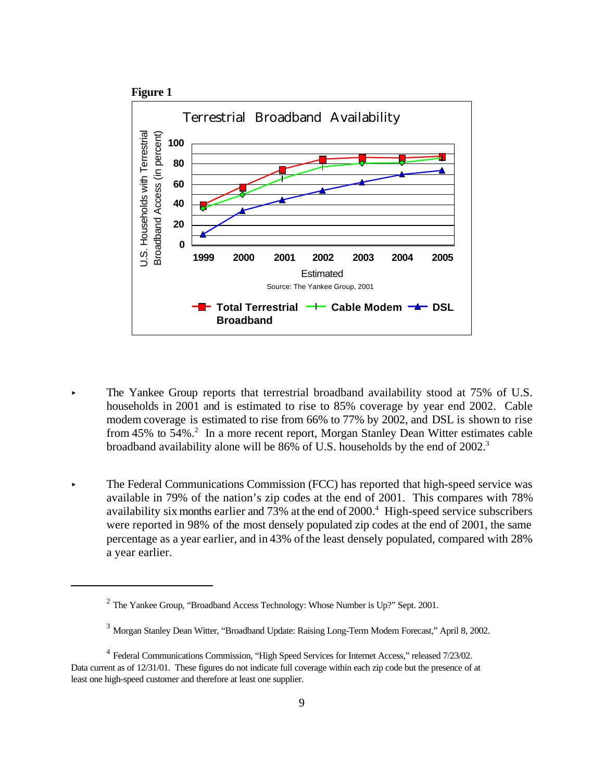

- The Yankee Group reports that terrestrial broadband availability stood at 75% of U.S. households in 2001 and is estimated to rise to 85% coverage by year end 2002. Cable modem coverage is estimated to rise from 66% to 77% by 2002, and DSL is shown to rise from 45% to 54%.<sup>2</sup> In a more recent report, Morgan Stanley Dean Witter estimates cable broadband availability alone will be 86% of U.S. households by the end of 2002.<sup>3</sup>
- **EXECUTE:** The Federal Communications Commission (FCC) has reported that high-speed service was available in 79% of the nation's zip codes at the end of 2001. This compares with 78% availability six months earlier and 73% at the end of 2000.<sup>4</sup> High-speed service subscribers were reported in 98% of the most densely populated zip codes at the end of 2001, the same percentage as a year earlier, and in 43% of the least densely populated, compared with 28% a year earlier.

<sup>&</sup>lt;sup>2</sup> The Yankee Group, "Broadband Access Technology: Whose Number is Up?" Sept. 2001.

<sup>3</sup> Morgan Stanley Dean Witter, "Broadband Update: Raising Long-Term Modem Forecast," April 8, 2002.

<sup>&</sup>lt;sup>4</sup> Federal Communications Commission, "High Speed Services for Internet Access," released 7/23/02. Data current as of 12/31/01. These figures do not indicate full coverage within each zip code but the presence of at least one high-speed customer and therefore at least one supplier.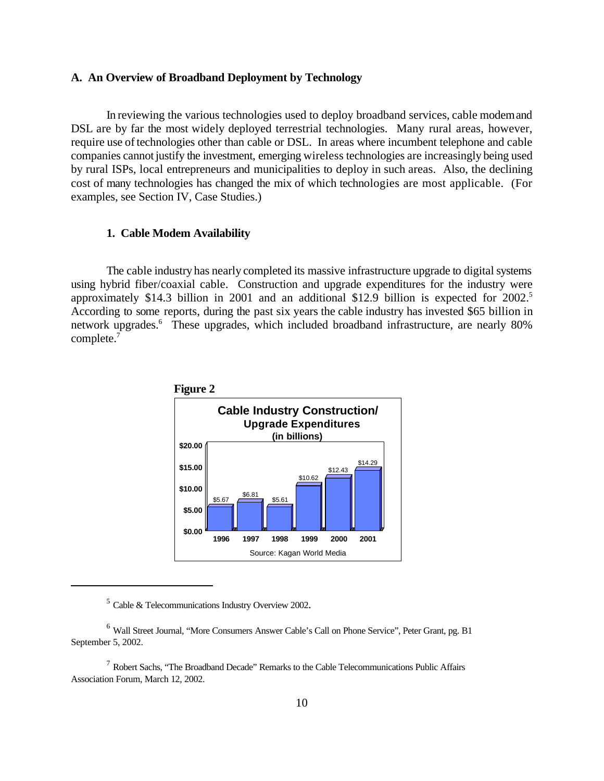#### **A. An Overview of Broadband Deployment by Technology**

In reviewing the various technologies used to deploy broadband services, cable modemand DSL are by far the most widely deployed terrestrial technologies. Many rural areas, however, require use of technologies other than cable or DSL. In areas where incumbent telephone and cable companies cannot justify the investment, emerging wireless technologies are increasingly being used by rural ISPs, local entrepreneurs and municipalities to deploy in such areas. Also, the declining cost of many technologies has changed the mix of which technologies are most applicable. (For examples, see Section IV, Case Studies.)

#### **1. Cable Modem Availability**

The cable industry has nearly completed its massive infrastructure upgrade to digital systems using hybrid fiber/coaxial cable. Construction and upgrade expenditures for the industry were approximately \$14.3 billion in 2001 and an additional \$12.9 billion is expected for 2002.<sup>5</sup> According to some reports, during the past six years the cable industry has invested \$65 billion in network upgrades.<sup>6</sup> These upgrades, which included broadband infrastructure, are nearly 80% complete.<sup>7</sup>



 $5$  Cable & Telecommunications Industry Overview 2002.

<sup>6</sup> Wall Street Journal, "More Consumers Answer Cable's Call on Phone Service", Peter Grant, pg. B1 September 5, 2002.

 $7$  Robert Sachs, "The Broadband Decade" Remarks to the Cable Telecommunications Public Affairs Association Forum, March 12, 2002.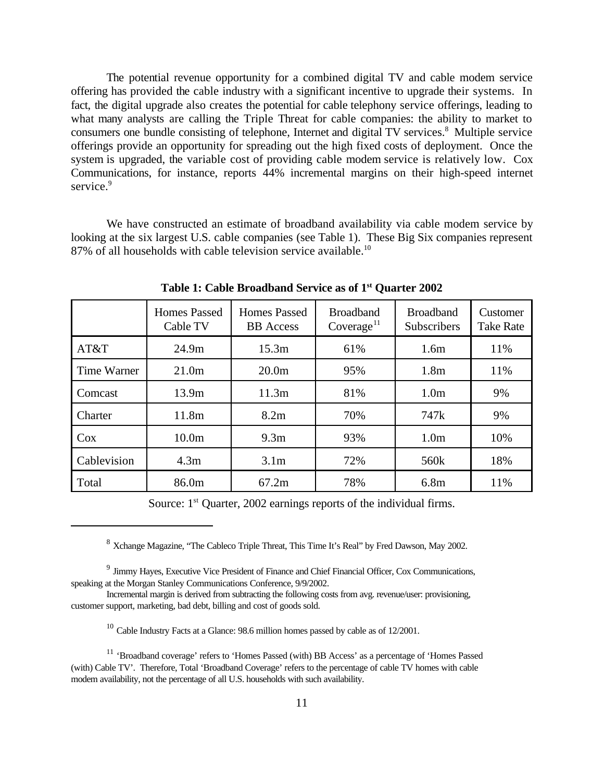The potential revenue opportunity for a combined digital TV and cable modem service offering has provided the cable industry with a significant incentive to upgrade their systems. In fact, the digital upgrade also creates the potential for cable telephony service offerings, leading to what many analysts are calling the Triple Threat for cable companies: the ability to market to consumers one bundle consisting of telephone, Internet and digital TV services.<sup>8</sup> Multiple service offerings provide an opportunity for spreading out the high fixed costs of deployment. Once the system is upgraded, the variable cost of providing cable modem service is relatively low. Cox Communications, for instance, reports 44% incremental margins on their high-speed internet service.<sup>9</sup>

We have constructed an estimate of broadband availability via cable modem service by looking at the six largest U.S. cable companies (see Table 1). These Big Six companies represent 87% of all households with cable television service available.<sup>10</sup>

|             | <b>Homes Passed</b><br>Cable TV | Homes Passed<br><b>BB</b> Access | <b>Broadband</b><br>Coverage <sup>11</sup> | <b>Broadband</b><br>Subscribers | Customer<br><b>Take Rate</b> |
|-------------|---------------------------------|----------------------------------|--------------------------------------------|---------------------------------|------------------------------|
| AT&T        | 24.9m                           | 15.3m                            | 61%                                        | 1.6m                            | 11%                          |
| Time Warner | 21.0 <sub>m</sub>               | 20.0 <sub>m</sub>                | 95%                                        | 1.8 <sub>m</sub>                | 11%                          |
| Comcast     | 13.9m                           | 11.3m                            | 81%                                        | 1.0 <sub>m</sub>                | 9%                           |
| Charter     | 11.8m                           | 8.2m                             | 70%                                        | 747 <sub>k</sub>                | 9%                           |
| Cox         | 10.0 <sub>m</sub>               | 9.3 <sub>m</sub>                 | 93%                                        | 1.0 <sub>m</sub>                | 10%                          |
| Cablevision | 4.3m                            | 3.1 <sub>m</sub>                 | 72%                                        | 560k                            | 18%                          |
| Total       | 86.0m                           | 67.2m                            | 78%                                        | 6.8 <sub>m</sub>                | 11%                          |

**Table 1: Cable Broadband Service as of 1st Quarter 2002**

Source: 1<sup>st</sup> Quarter, 2002 earnings reports of the individual firms.

<sup>8</sup> Xchange Magazine, "The Cableco Triple Threat, This Time It's Real" by Fred Dawson, May 2002.

<sup>9</sup> Jimmy Hayes, Executive Vice President of Finance and Chief Financial Officer, Cox Communications, speaking at the Morgan Stanley Communications Conference, 9/9/2002.

Incremental margin is derived from subtracting the following costs from avg. revenue/user: provisioning, customer support, marketing, bad debt, billing and cost of goods sold.

<sup>&</sup>lt;sup>10</sup> Cable Industry Facts at a Glance: 98.6 million homes passed by cable as of 12/2001.

<sup>11</sup> 'Broadband coverage' refers to 'Homes Passed (with) BB Access' as a percentage of 'Homes Passed (with) Cable TV'. Therefore, Total 'Broadband Coverage' refers to the percentage of cable TV homes with cable modem availability, not the percentage of all U.S. households with such availability.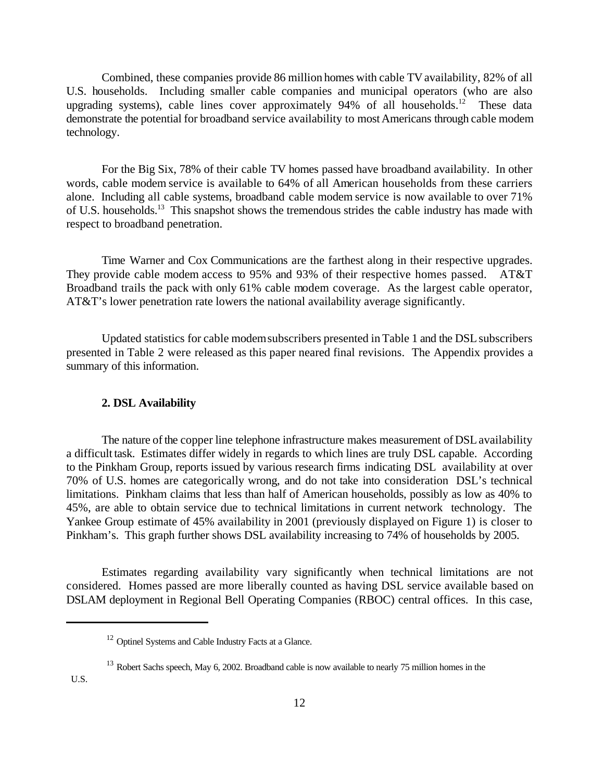Combined, these companies provide 86 million homes with cable TV availability, 82% of all U.S. households. Including smaller cable companies and municipal operators (who are also upgrading systems), cable lines cover approximately 94% of all households.<sup>12</sup> These data demonstrate the potential for broadband service availability to most Americans through cable modem technology.

For the Big Six, 78% of their cable TV homes passed have broadband availability. In other words, cable modem service is available to 64% of all American households from these carriers alone. Including all cable systems, broadband cable modem service is now available to over 71% of U.S. households.<sup>13</sup> This snapshot shows the tremendous strides the cable industry has made with respect to broadband penetration.

Time Warner and Cox Communications are the farthest along in their respective upgrades. They provide cable modem access to 95% and 93% of their respective homes passed. AT&T Broadband trails the pack with only 61% cable modem coverage. As the largest cable operator, AT&T's lower penetration rate lowers the national availability average significantly.

Updated statistics for cable modemsubscribers presented in Table 1 and the DSLsubscribers presented in Table 2 were released as this paper neared final revisions. The Appendix provides a summary of this information.

#### **2. DSL Availability**

The nature of the copper line telephone infrastructure makes measurement of DSL availability a difficult task. Estimates differ widely in regards to which lines are truly DSL capable. According to the Pinkham Group, reports issued by various research firms indicating DSL availability at over 70% of U.S. homes are categorically wrong, and do not take into consideration DSL's technical limitations. Pinkham claims that less than half of American households, possibly as low as 40% to 45%, are able to obtain service due to technical limitations in current network technology. The Yankee Group estimate of 45% availability in 2001 (previously displayed on Figure 1) is closer to Pinkham's. This graph further shows DSL availability increasing to 74% of households by 2005.

Estimates regarding availability vary significantly when technical limitations are not considered. Homes passed are more liberally counted as having DSL service available based on DSLAM deployment in Regional Bell Operating Companies (RBOC) central offices. In this case,

<sup>13</sup> Robert Sachs speech, May 6, 2002. Broadband cable is now available to nearly 75 million homes in the

U.S.

<sup>&</sup>lt;sup>12</sup> Optinel Systems and Cable Industry Facts at a Glance.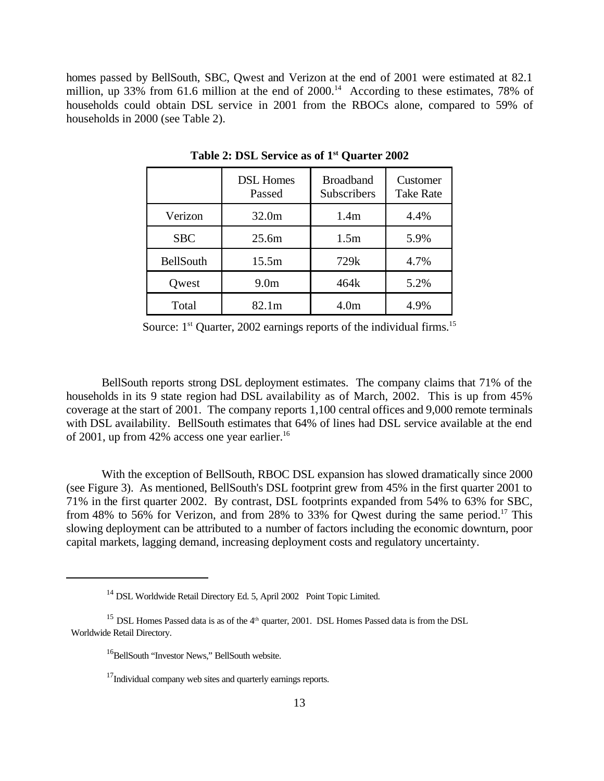homes passed by BellSouth, SBC, Qwest and Verizon at the end of 2001 were estimated at 82.1 million, up 33% from 61.6 million at the end of  $2000$ .<sup>14</sup> According to these estimates, 78% of households could obtain DSL service in 2001 from the RBOCs alone, compared to 59% of households in 2000 (see Table 2).

|                  | <b>DSL Homes</b><br>Passed | <b>Broadband</b><br><b>Subscribers</b> | Customer<br><b>Take Rate</b> |
|------------------|----------------------------|----------------------------------------|------------------------------|
| Verizon          | 32.0m                      | 1.4 <sub>m</sub>                       | 4.4%                         |
| <b>SBC</b>       | 25.6m                      | 1.5m                                   | 5.9%                         |
| <b>BellSouth</b> | 15.5m                      | 729k                                   | 4.7%                         |
| Qwest            | 9.0 <sub>m</sub>           | 464k                                   | 5.2%                         |
| Total            | 82.1m                      | 4.0m                                   | 4.9%                         |

**Table 2: DSL Service as of 1st Quarter 2002**

Source:  $1<sup>st</sup>$  Quarter, 2002 earnings reports of the individual firms.<sup>15</sup>

BellSouth reports strong DSL deployment estimates. The company claims that 71% of the households in its 9 state region had DSL availability as of March, 2002. This is up from 45% coverage at the start of 2001. The company reports 1,100 central offices and 9,000 remote terminals with DSL availability. BellSouth estimates that 64% of lines had DSL service available at the end of 2001, up from 42% access one year earlier.<sup>16</sup>

With the exception of BellSouth, RBOC DSL expansion has slowed dramatically since 2000 (see Figure 3). As mentioned, BellSouth's DSL footprint grew from 45% in the first quarter 2001 to 71% in the first quarter 2002. By contrast, DSL footprints expanded from 54% to 63% for SBC, from 48% to 56% for Verizon, and from 28% to 33% for Qwest during the same period.<sup>17</sup> This slowing deployment can be attributed to a number of factors including the economic downturn, poor capital markets, lagging demand, increasing deployment costs and regulatory uncertainty.

<sup>&</sup>lt;sup>14</sup> DSL Worldwide Retail Directory Ed. 5, April 2002 Point Topic Limited.

<sup>&</sup>lt;sup>15</sup> DSL Homes Passed data is as of the  $4<sup>th</sup>$  quarter, 2001. DSL Homes Passed data is from the DSL Worldwide Retail Directory.

<sup>&</sup>lt;sup>16</sup>BellSouth "Investor News," BellSouth website.

 $17$ Individual company web sites and quarterly earnings reports.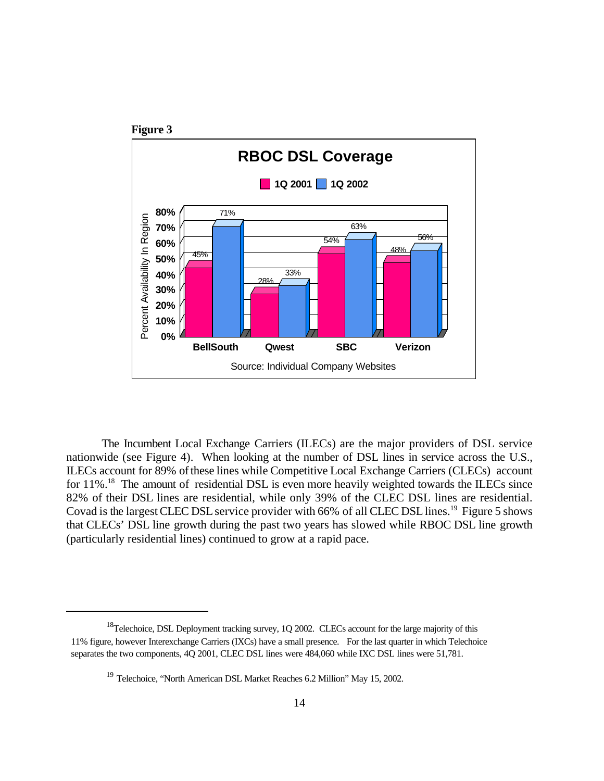

The Incumbent Local Exchange Carriers (ILECs) are the major providers of DSL service nationwide (see Figure 4). When looking at the number of DSL lines in service across the U.S., ILECs account for 89% ofthese lines while Competitive Local Exchange Carriers (CLECs) account for  $11\%$ <sup>18</sup>. The amount of residential DSL is even more heavily weighted towards the ILECs since 82% of their DSL lines are residential, while only 39% of the CLEC DSL lines are residential. Covad is the largest CLEC DSL service provider with 66% of all CLEC DSL lines.<sup>19</sup> Figure 5 shows that CLECs' DSL line growth during the past two years has slowed while RBOC DSL line growth (particularly residential lines) continued to grow at a rapid pace.

<sup>&</sup>lt;sup>18</sup>Telechoice, DSL Deployment tracking survey, 1Q 2002. CLECs account for the large majority of this 11% figure, however Interexchange Carriers (IXCs) have a small presence. For the last quarter in which Telechoice separates the two components, 4Q 2001, CLEC DSL lines were 484,060 while IXC DSL lines were 51,781.

<sup>&</sup>lt;sup>19</sup> Telechoice, "North American DSL Market Reaches 6.2 Million" May 15, 2002.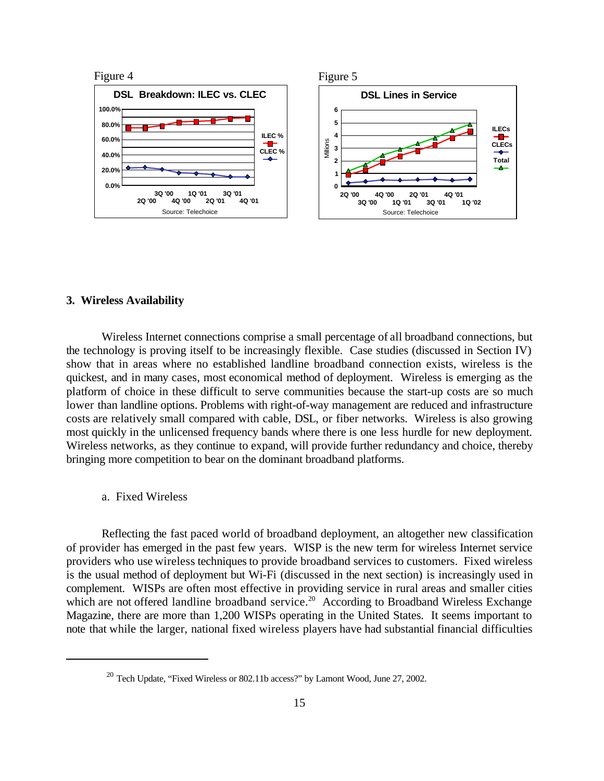

#### **3. Wireless Availability**

Wireless Internet connections comprise a small percentage of all broadband connections, but the technology is proving itself to be increasingly flexible. Case studies (discussed in Section IV) show that in areas where no established landline broadband connection exists, wireless is the quickest, and in many cases, most economical method of deployment. Wireless is emerging as the platform of choice in these difficult to serve communities because the start-up costs are so much lower than landline options. Problems with right-of-way management are reduced and infrastructure costs are relatively small compared with cable, DSL, or fiber networks. Wireless is also growing most quickly in the unlicensed frequency bands where there is one less hurdle for new deployment. Wireless networks, as they continue to expand, will provide further redundancy and choice, thereby bringing more competition to bear on the dominant broadband platforms.

a. Fixed Wireless

Reflecting the fast paced world of broadband deployment, an altogether new classification of provider has emerged in the past few years. WISP is the new term for wireless Internet service providers who use wireless techniques to provide broadband services to customers. Fixed wireless is the usual method of deployment but Wi-Fi (discussed in the next section) is increasingly used in complement. WISPs are often most effective in providing service in rural areas and smaller cities which are not offered landline broadband service.<sup>20</sup> According to Broadband Wireless Exchange Magazine, there are more than 1,200 WISPs operating in the United States. It seems important to note that while the larger, national fixed wireless players have had substantial financial difficulties

 $20$  Tech Update, "Fixed Wireless or 802.11b access?" by Lamont Wood, June 27, 2002.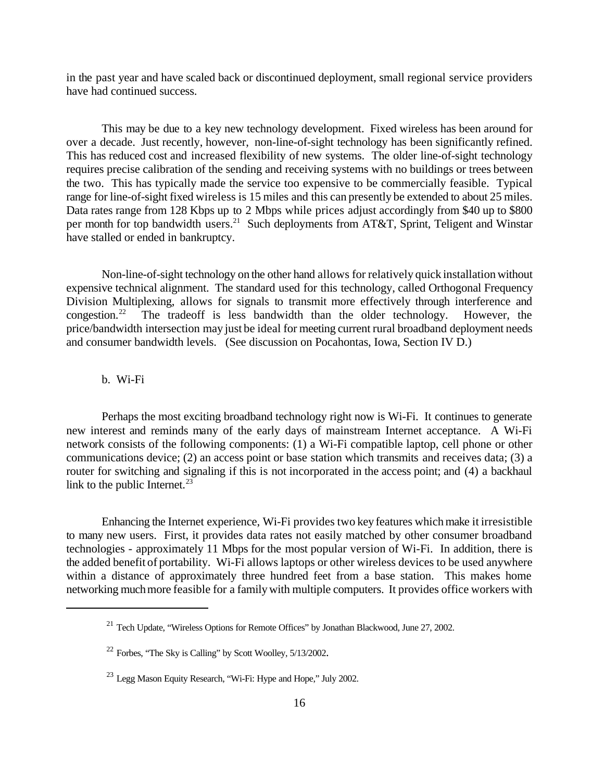in the past year and have scaled back or discontinued deployment, small regional service providers have had continued success.

This may be due to a key new technology development. Fixed wireless has been around for over a decade. Just recently, however, non-line-of-sight technology has been significantly refined. This has reduced cost and increased flexibility of new systems. The older line-of-sight technology requires precise calibration of the sending and receiving systems with no buildings or trees between the two. This has typically made the service too expensive to be commercially feasible. Typical range for line-of-sight fixed wireless is 15 miles and this can presently be extended to about 25 miles. Data rates range from 128 Kbps up to 2 Mbps while prices adjust accordingly from \$40 up to \$800 per month for top bandwidth users.<sup>21</sup> Such deployments from AT&T, Sprint, Teligent and Winstar have stalled or ended in bankruptcy.

Non-line-of-sight technology on the other hand allows for relatively quick installation without expensive technical alignment. The standard used for this technology, called Orthogonal Frequency Division Multiplexing, allows for signals to transmit more effectively through interference and congestion.<sup>22</sup> The tradeoff is less bandwidth than the older technology. However, the price/bandwidth intersection may just be ideal for meeting current rural broadband deployment needs and consumer bandwidth levels. (See discussion on Pocahontas, Iowa, Section IV D.)

#### b. Wi-Fi

Perhaps the most exciting broadband technology right now is Wi-Fi. It continues to generate new interest and reminds many of the early days of mainstream Internet acceptance. A Wi-Fi network consists of the following components: (1) a Wi-Fi compatible laptop, cell phone or other communications device; (2) an access point or base station which transmits and receives data; (3) a router for switching and signaling if this is not incorporated in the access point; and (4) a backhaul link to the public Internet.<sup>23</sup>

Enhancing the Internet experience, Wi-Fi provides two key features which make it irresistible to many new users. First, it provides data rates not easily matched by other consumer broadband technologies - approximately 11 Mbps for the most popular version of Wi-Fi. In addition, there is the added benefit of portability. Wi-Fi allows laptops or other wireless devices to be used anywhere within a distance of approximately three hundred feet from a base station. This makes home networking much more feasible for a family with multiple computers. It provides office workers with

<sup>&</sup>lt;sup>21</sup> Tech Update, "Wireless Options for Remote Offices" by Jonathan Blackwood, June 27, 2002.

 $22$  Forbes, "The Sky is Calling" by Scott Woolley,  $5/13/2002$ .

<sup>23</sup> Legg Mason Equity Research, "Wi-Fi: Hype and Hope," July 2002.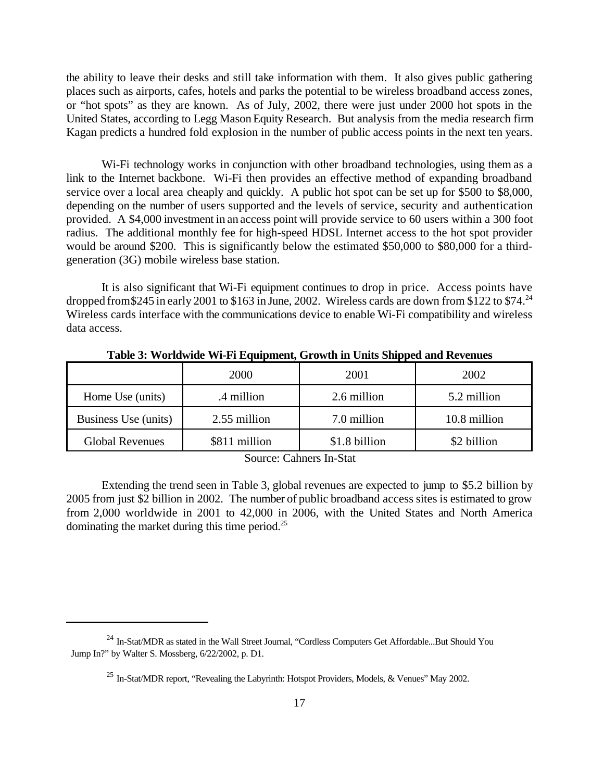the ability to leave their desks and still take information with them. It also gives public gathering places such as airports, cafes, hotels and parks the potential to be wireless broadband access zones, or "hot spots" as they are known. As of July, 2002, there were just under 2000 hot spots in the United States, according to Legg MasonEquity Research. But analysis from the media research firm Kagan predicts a hundred fold explosion in the number of public access points in the next ten years.

Wi-Fi technology works in conjunction with other broadband technologies, using them as a link to the Internet backbone. Wi-Fi then provides an effective method of expanding broadband service over a local area cheaply and quickly. A public hot spot can be set up for \$500 to \$8,000, depending on the number of users supported and the levels of service, security and authentication provided. A \$4,000 investment in an access point will provide service to 60 users within a 300 foot radius. The additional monthly fee for high-speed HDSL Internet access to the hot spot provider would be around \$200. This is significantly below the estimated \$50,000 to \$80,000 for a thirdgeneration (3G) mobile wireless base station.

It is also significant that Wi-Fi equipment continues to drop in price. Access points have dropped from \$245 in early 2001 to \$163 in June, 2002. Wireless cards are down from \$122 to \$74.<sup>24</sup> Wireless cards interface with the communications device to enable Wi-Fi compatibility and wireless data access.

|                        | 2000          | 2001          | 2002         |
|------------------------|---------------|---------------|--------------|
| Home Use (units)       | .4 million    | 2.6 million   | 5.2 million  |
| Business Use (units)   | 2.55 million  | 7.0 million   | 10.8 million |
| <b>Global Revenues</b> | \$811 million | \$1.8 billion | \$2 billion  |

**Table 3: Worldwide Wi-Fi Equipment, Growth in Units Shipped and Revenues**

Source: Cahners In-Stat

Extending the trend seen in Table 3, global revenues are expected to jump to \$5.2 billion by 2005 from just \$2 billion in 2002. The number of public broadband access sites is estimated to grow from 2,000 worldwide in 2001 to 42,000 in 2006, with the United States and North America dominating the market during this time period.25

<sup>&</sup>lt;sup>24</sup> In-Stat/MDR as stated in the Wall Street Journal, "Cordless Computers Get Affordable...But Should You Jump In?" by Walter S. Mossberg, 6/22/2002, p. D1.

<sup>&</sup>lt;sup>25</sup> In-Stat/MDR report, "Revealing the Labyrinth: Hotspot Providers, Models, & Venues" May 2002.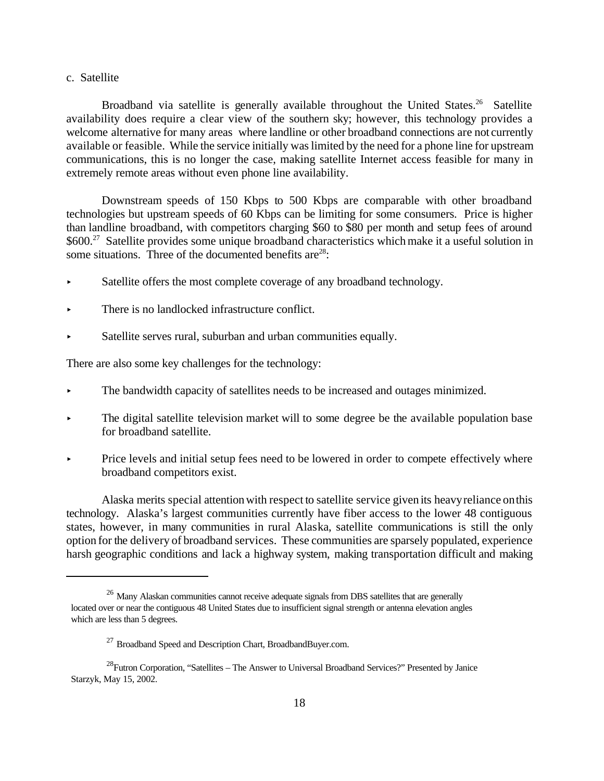#### c. Satellite

Broadband via satellite is generally available throughout the United States.<sup>26</sup> Satellite availability does require a clear view of the southern sky; however, this technology provides a welcome alternative for many areas where landline or other broadband connections are not currently available or feasible. While the service initially was limited by the need for a phone line for upstream communications, this is no longer the case, making satellite Internet access feasible for many in extremely remote areas without even phone line availability.

Downstream speeds of 150 Kbps to 500 Kbps are comparable with other broadband technologies but upstream speeds of 60 Kbps can be limiting for some consumers. Price is higher than landline broadband, with competitors charging \$60 to \$80 per month and setup fees of around \$600.<sup>27</sup> Satellite provides some unique broadband characteristics which make it a useful solution in some situations. Three of the documented benefits are $28$ :

- Satellite offers the most complete coverage of any broadband technology.
- There is no landlocked infrastructure conflict.
- Satellite serves rural, suburban and urban communities equally.

There are also some key challenges for the technology:

- < The bandwidth capacity of satellites needs to be increased and outages minimized.
- $\blacktriangleright$  The digital satellite television market will to some degree be the available population base for broadband satellite.
- Price levels and initial setup fees need to be lowered in order to compete effectively where broadband competitors exist.

Alaska merits special attentionwith respect to satellite service given its heavyreliance onthis technology. Alaska's largest communities currently have fiber access to the lower 48 contiguous states, however, in many communities in rural Alaska, satellite communications is still the only option for the delivery of broadband services. These communities are sparsely populated, experience harsh geographic conditions and lack a highway system, making transportation difficult and making

 $26$  Many Alaskan communities cannot receive adequate signals from DBS satellites that are generally located over or near the contiguous 48 United States due to insufficient signal strength or antenna elevation angles which are less than 5 degrees.

<sup>&</sup>lt;sup>27</sup> Broadband Speed and Description Chart, BroadbandBuyer.com.

<sup>&</sup>lt;sup>28</sup>Futron Corporation, "Satellites – The Answer to Universal Broadband Services?" Presented by Janice Starzyk, May 15, 2002.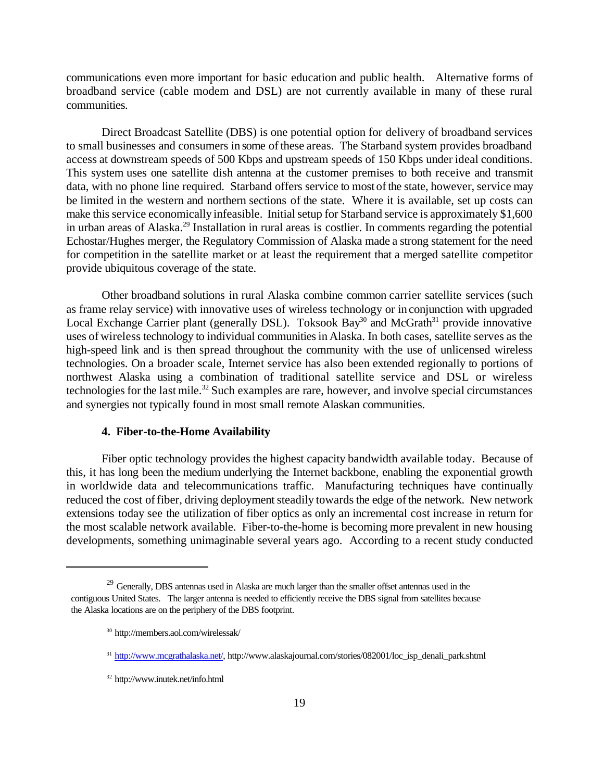communications even more important for basic education and public health. Alternative forms of broadband service (cable modem and DSL) are not currently available in many of these rural communities.

Direct Broadcast Satellite (DBS) is one potential option for delivery of broadband services to small businesses and consumers in some of these areas. The Starband system provides broadband access at downstream speeds of 500 Kbps and upstream speeds of 150 Kbps under ideal conditions. This system uses one satellite dish antenna at the customer premises to both receive and transmit data, with no phone line required. Starband offers service to most of the state, however, service may be limited in the western and northern sections of the state. Where it is available, set up costs can make this service economically infeasible. Initial setup for Starband service is approximately \$1,600 in urban areas of Alaska.<sup>29</sup> Installation in rural areas is costlier. In comments regarding the potential Echostar/Hughes merger, the Regulatory Commission of Alaska made a strong statement for the need for competition in the satellite market or at least the requirement that a merged satellite competitor provide ubiquitous coverage of the state.

Other broadband solutions in rural Alaska combine common carrier satellite services (such as frame relay service) with innovative uses of wireless technology or in conjunction with upgraded Local Exchange Carrier plant (generally DSL). Toksook Bay<sup>30</sup> and McGrath<sup>31</sup> provide innovative uses of wireless technology to individual communities in Alaska. In both cases, satellite serves as the high-speed link and is then spread throughout the community with the use of unlicensed wireless technologies. On a broader scale, Internet service has also been extended regionally to portions of northwest Alaska using a combination of traditional satellite service and DSL or wireless technologies for the last mile.<sup>32</sup> Such examples are rare, however, and involve special circumstances and synergies not typically found in most small remote Alaskan communities.

#### **4. Fiber-to-the-Home Availability**

Fiber optic technology provides the highest capacity bandwidth available today. Because of this, it has long been the medium underlying the Internet backbone, enabling the exponential growth in worldwide data and telecommunications traffic. Manufacturing techniques have continually reduced the cost of fiber, driving deployment steadily towards the edge of the network. New network extensions today see the utilization of fiber optics as only an incremental cost increase in return for the most scalable network available. Fiber-to-the-home is becoming more prevalent in new housing developments, something unimaginable several years ago. According to a recent study conducted

<sup>&</sup>lt;sup>29</sup> Generally, DBS antennas used in Alaska are much larger than the smaller offset antennas used in the contiguous United States. The larger antenna is needed to efficiently receive the DBS signal from satellites because the Alaska locations are on the periphery of the DBS footprint.

<sup>30</sup> http://members.aol.com/wirelessak/

<sup>&</sup>lt;sup>31</sup> http://www.mcgrathalaska.net/, http://www.alaskajournal.com/stories/082001/loc\_isp\_denali\_park.shtml

<sup>32</sup> http://www.inutek.net/info.html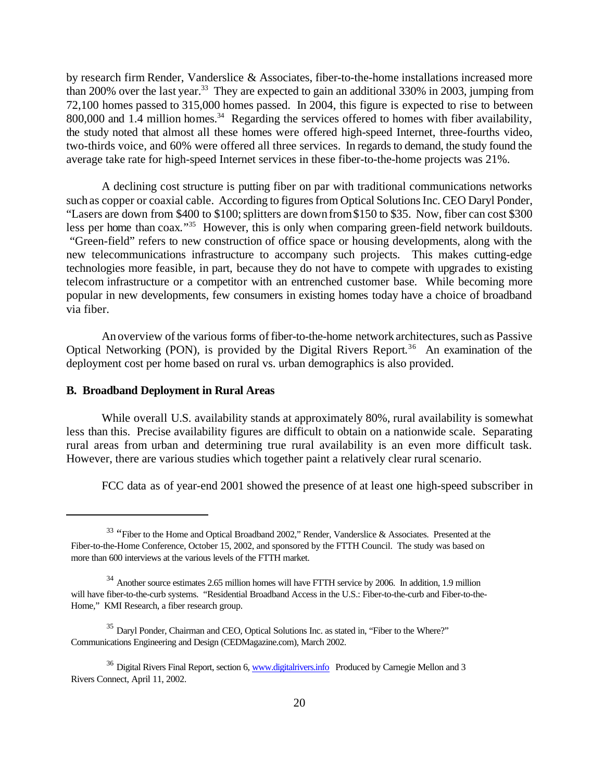by research firm Render, Vanderslice & Associates, fiber-to-the-home installations increased more than 200% over the last year.<sup>33</sup> They are expected to gain an additional 330% in 2003, jumping from 72,100 homes passed to 315,000 homes passed. In 2004, this figure is expected to rise to between 800,000 and 1.4 million homes.<sup>34</sup> Regarding the services offered to homes with fiber availability, the study noted that almost all these homes were offered high-speed Internet, three-fourths video, two-thirds voice, and 60% were offered all three services. In regards to demand, the study found the average take rate for high-speed Internet services in these fiber-to-the-home projects was 21%.

A declining cost structure is putting fiber on par with traditional communications networks such as copper or coaxial cable. According to figures from Optical Solutions Inc. CEO Daryl Ponder, "Lasers are down from \$400 to \$100; splitters are down from \$150 to \$35. Now, fiber can cost \$300 less per home than coax."<sup>35</sup> However, this is only when comparing green-field network buildouts. "Green-field" refers to new construction of office space or housing developments, along with the new telecommunications infrastructure to accompany such projects. This makes cutting-edge technologies more feasible, in part, because they do not have to compete with upgrades to existing telecom infrastructure or a competitor with an entrenched customer base. While becoming more popular in new developments, few consumers in existing homes today have a choice of broadband via fiber.

An overview of the various forms of fiber-to-the-home network architectures, such as Passive Optical Networking (PON), is provided by the Digital Rivers Report.<sup>36</sup> An examination of the deployment cost per home based on rural vs. urban demographics is also provided.

#### **B. Broadband Deployment in Rural Areas**

While overall U.S. availability stands at approximately 80%, rural availability is somewhat less than this. Precise availability figures are difficult to obtain on a nationwide scale. Separating rural areas from urban and determining true rural availability is an even more difficult task. However, there are various studies which together paint a relatively clear rural scenario.

FCC data as of year-end 2001 showed the presence of at least one high-speed subscriber in

<sup>&</sup>lt;sup>33</sup> "Fiber to the Home and Optical Broadband 2002," Render, Vanderslice & Associates. Presented at the Fiber-to-the-Home Conference, October 15, 2002, and sponsored by the FTTH Council. The study was based on more than 600 interviews at the various levels of the FTTH market.

<sup>&</sup>lt;sup>34</sup> Another source estimates 2.65 million homes will have FTTH service by 2006. In addition, 1.9 million will have fiber-to-the-curb systems. "Residential Broadband Access in the U.S.: Fiber-to-the-curb and Fiber-to-the-Home," KMI Research, a fiber research group.

<sup>35</sup> Daryl Ponder, Chairman and CEO, Optical Solutions Inc. as stated in, "Fiber to the Where?" Communications Engineering and Design (CEDMagazine.com), March 2002.

 $36$  Digital Rivers Final Report, section 6, www.digitalrivers.info Produced by Carnegie Mellon and 3 Rivers Connect, April 11, 2002.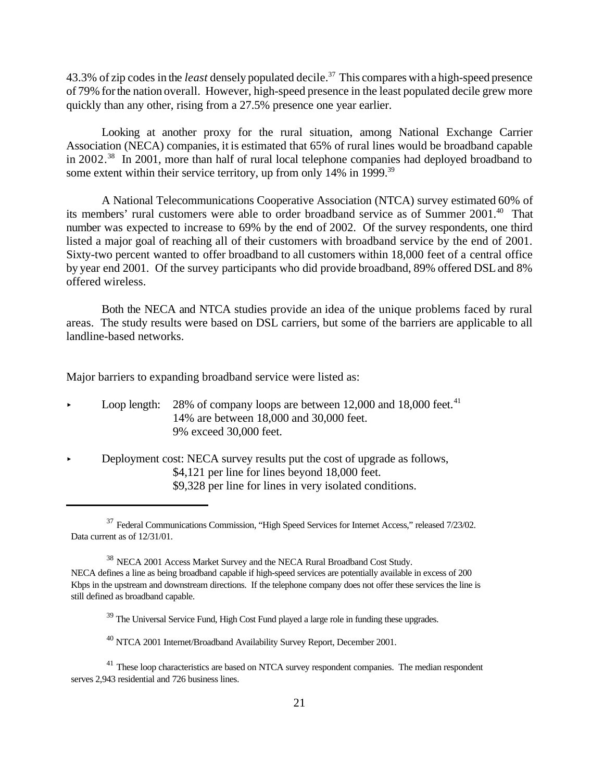43.3% of zip codes in the *least* densely populated decile.<sup>37</sup> This compares with a high-speed presence of 79% forthe nation overall. However, high-speed presence in the least populated decile grew more quickly than any other, rising from a 27.5% presence one year earlier.

Looking at another proxy for the rural situation, among National Exchange Carrier Association (NECA) companies, it is estimated that 65% of rural lines would be broadband capable in 2002.<sup>38</sup> In 2001, more than half of rural local telephone companies had deployed broadband to some extent within their service territory, up from only 14% in 1999.<sup>39</sup>

A National Telecommunications Cooperative Association (NTCA) survey estimated 60% of its members' rural customers were able to order broadband service as of Summer 2001.<sup>40</sup> That number was expected to increase to 69% by the end of 2002. Of the survey respondents, one third listed a major goal of reaching all of their customers with broadband service by the end of 2001. Sixty-two percent wanted to offer broadband to all customers within 18,000 feet of a central office by year end 2001. Of the survey participants who did provide broadband, 89% offered DSLand 8% offered wireless.

Both the NECA and NTCA studies provide an idea of the unique problems faced by rural areas. The study results were based on DSL carriers, but some of the barriers are applicable to all landline-based networks.

Major barriers to expanding broadband service were listed as:

- **Loop length:** 28% of company loops are between 12,000 and 18,000 feet.<sup>41</sup> 14% are between 18,000 and 30,000 feet. 9% exceed 30,000 feet.
- < Deployment cost: NECA survey results put the cost of upgrade as follows, \$4,121 per line for lines beyond 18,000 feet. \$9,328 per line for lines in very isolated conditions.

<sup>&</sup>lt;sup>37</sup> Federal Communications Commission, "High Speed Services for Internet Access," released 7/23/02. Data current as of 12/31/01.

<sup>38</sup> NECA 2001 Access Market Survey and the NECA Rural Broadband Cost Study. NECA defines a line as being broadband capable if high-speed services are potentially available in excess of 200 Kbps in the upstream and downstream directions. If the telephone company does not offer these services the line is still defined as broadband capable.

<sup>&</sup>lt;sup>39</sup> The Universal Service Fund, High Cost Fund played a large role in funding these upgrades.

<sup>40</sup> NTCA 2001 Internet/Broadband Availability Survey Report, December 2001.

<sup>&</sup>lt;sup>41</sup> These loop characteristics are based on NTCA survey respondent companies. The median respondent serves 2,943 residential and 726 business lines.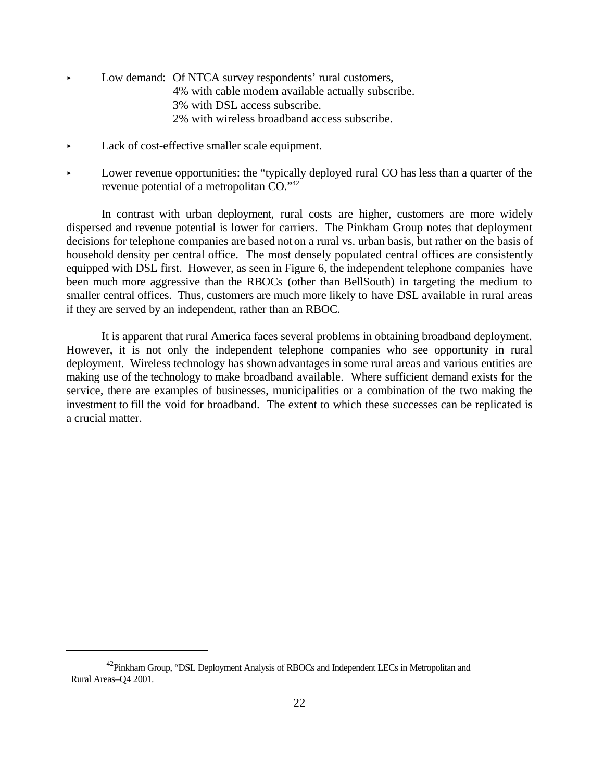- Low demand: Of NTCA survey respondents' rural customers, 4% with cable modem available actually subscribe. 3% with DSL access subscribe. 2% with wireless broadband access subscribe.
- Lack of cost-effective smaller scale equipment.
- Lower revenue opportunities: the "typically deployed rural CO has less than a quarter of the revenue potential of a metropolitan CO."<sup>42</sup>

In contrast with urban deployment, rural costs are higher, customers are more widely dispersed and revenue potential is lower for carriers. The Pinkham Group notes that deployment decisions for telephone companies are based not on a rural vs. urban basis, but rather on the basis of household density per central office. The most densely populated central offices are consistently equipped with DSL first. However, as seen in Figure 6, the independent telephone companies have been much more aggressive than the RBOCs (other than BellSouth) in targeting the medium to smaller central offices. Thus, customers are much more likely to have DSL available in rural areas if they are served by an independent, rather than an RBOC.

It is apparent that rural America faces several problems in obtaining broadband deployment. However, it is not only the independent telephone companies who see opportunity in rural deployment. Wireless technology has shown advantages in some rural areas and various entities are making use of the technology to make broadband available. Where sufficient demand exists for the service, there are examples of businesses, municipalities or a combination of the two making the investment to fill the void for broadband. The extent to which these successes can be replicated is a crucial matter.

<sup>&</sup>lt;sup>42</sup>Pinkham Group, "DSL Deployment Analysis of RBOCs and Independent LECs in Metropolitan and Rural Areas–Q4 2001.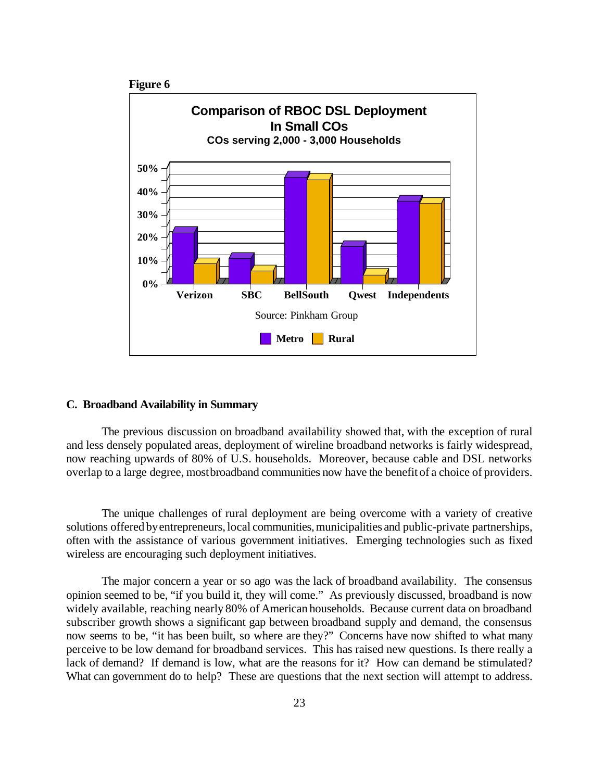

#### **C. Broadband Availability in Summary**

The previous discussion on broadband availability showed that, with the exception of rural and less densely populated areas, deployment of wireline broadband networks is fairly widespread, now reaching upwards of 80% of U.S. households. Moreover, because cable and DSL networks overlap to a large degree, mostbroadband communities now have the benefit of a choice of providers.

The unique challenges of rural deployment are being overcome with a variety of creative solutions offered by entrepreneurs, local communities, municipalities and public-private partnerships, often with the assistance of various government initiatives. Emerging technologies such as fixed wireless are encouraging such deployment initiatives.

The major concern a year or so ago was the lack of broadband availability. The consensus opinion seemed to be, "if you build it, they will come." As previously discussed, broadband is now widely available, reaching nearly 80% of American households. Because current data on broadband subscriber growth shows a significant gap between broadband supply and demand, the consensus now seems to be, "it has been built, so where are they?" Concerns have now shifted to what many perceive to be low demand for broadband services. This has raised new questions. Is there really a lack of demand? If demand is low, what are the reasons for it? How can demand be stimulated? What can government do to help? These are questions that the next section will attempt to address.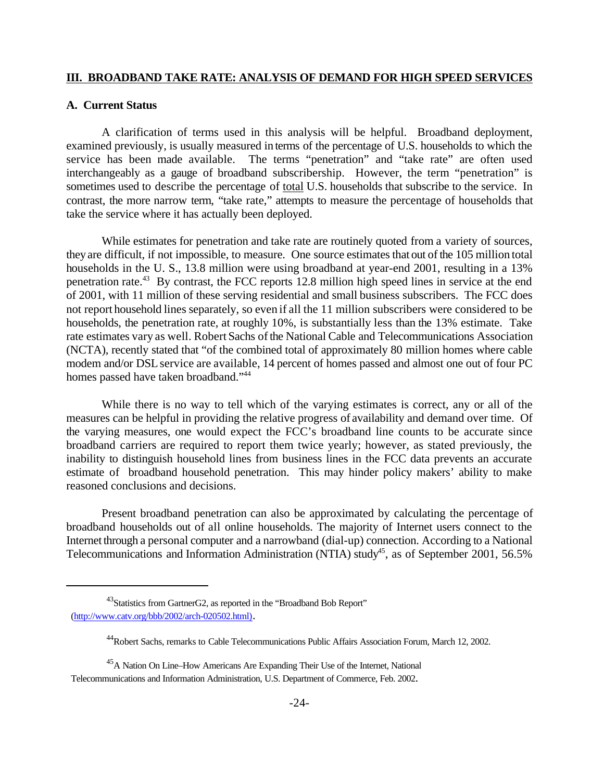#### **III. BROADBAND TAKE RATE: ANALYSIS OF DEMAND FOR HIGH SPEED SERVICES**

#### **A. Current Status**

A clarification of terms used in this analysis will be helpful. Broadband deployment, examined previously, is usually measured in terms of the percentage of U.S. households to which the service has been made available. The terms "penetration" and "take rate" are often used interchangeably as a gauge of broadband subscribership. However, the term "penetration" is sometimes used to describe the percentage of total U.S. households that subscribe to the service. In contrast, the more narrow term, "take rate," attempts to measure the percentage of households that take the service where it has actually been deployed.

While estimates for penetration and take rate are routinely quoted from a variety of sources, they are difficult, if not impossible, to measure. One source estimates that out of the 105 million total households in the U. S., 13.8 million were using broadband at year-end 2001, resulting in a 13% penetration rate.<sup>43</sup> By contrast, the FCC reports 12.8 million high speed lines in service at the end of 2001, with 11 million of these serving residential and small business subscribers. The FCC does not report household lines separately, so even if all the 11 million subscribers were considered to be households, the penetration rate, at roughly 10%, is substantially less than the 13% estimate. Take rate estimates vary as well. Robert Sachs of the National Cable and Telecommunications Association (NCTA), recently stated that "of the combined total of approximately 80 million homes where cable modem and/or DSLservice are available, 14 percent of homes passed and almost one out of four PC homes passed have taken broadband."<sup>44</sup>

While there is no way to tell which of the varying estimates is correct, any or all of the measures can be helpful in providing the relative progress of availability and demand over time. Of the varying measures, one would expect the FCC's broadband line counts to be accurate since broadband carriers are required to report them twice yearly; however, as stated previously, the inability to distinguish household lines from business lines in the FCC data prevents an accurate estimate of broadband household penetration. This may hinder policy makers' ability to make reasoned conclusions and decisions.

Present broadband penetration can also be approximated by calculating the percentage of broadband households out of all online households. The majority of Internet users connect to the Internet through a personal computer and a narrowband (dial-up) connection. According to a National Telecommunications and Information Administration (NTIA) study<sup>45</sup>, as of September 2001, 56.5%

<sup>&</sup>lt;sup>43</sup>Statistics from GartnerG2, as reported in the "Broadband Bob Report" (http://www.catv.org/bbb/2002/arch-020502.html).

<sup>44</sup>Robert Sachs, remarks to Cable Telecommunications Public Affairs Association Forum, March 12, 2002.

<sup>&</sup>lt;sup>45</sup>A Nation On Line–How Americans Are Expanding Their Use of the Internet, National Telecommunications and Information Administration, U.S. Department of Commerce, Feb. 2002.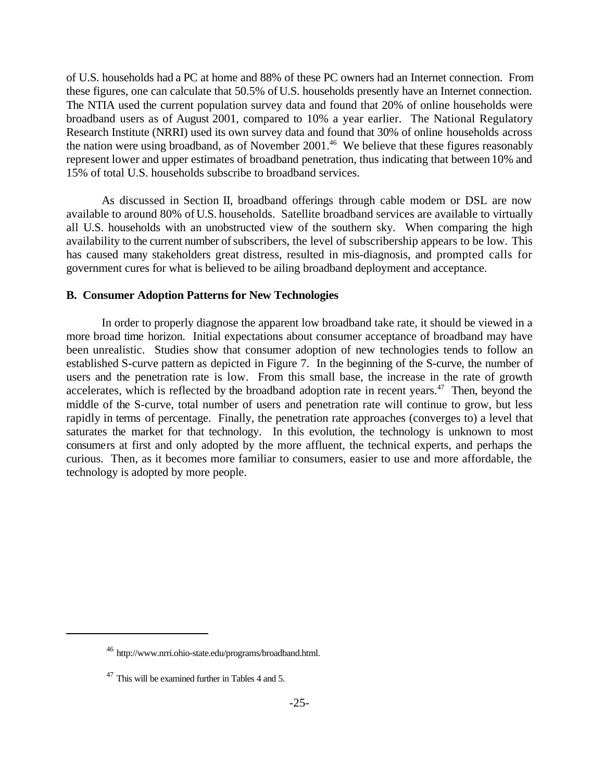of U.S. households had a PC at home and 88% of these PC owners had an Internet connection. From these figures, one can calculate that 50.5% of U.S. households presently have an Internet connection. The NTIA used the current population survey data and found that 20% of online households were broadband users as of August 2001, compared to 10% a year earlier. The National Regulatory Research Institute (NRRI) used its own survey data and found that 30% of online households across the nation were using broadband, as of November 2001.<sup>46</sup> We believe that these figures reasonably represent lower and upper estimates of broadband penetration, thus indicating that between 10% and 15% of total U.S. households subscribe to broadband services.

As discussed in Section II, broadband offerings through cable modem or DSL are now available to around 80% of U.S. households. Satellite broadband services are available to virtually all U.S. households with an unobstructed view of the southern sky. When comparing the high availability to the current number of subscribers, the level of subscribership appears to be low. This has caused many stakeholders great distress, resulted in mis-diagnosis, and prompted calls for government cures for what is believed to be ailing broadband deployment and acceptance.

#### **B. Consumer Adoption Patterns for New Technologies**

In order to properly diagnose the apparent low broadband take rate, it should be viewed in a more broad time horizon. Initial expectations about consumer acceptance of broadband may have been unrealistic. Studies show that consumer adoption of new technologies tends to follow an established S-curve pattern as depicted in Figure 7. In the beginning of the S-curve, the number of users and the penetration rate is low. From this small base, the increase in the rate of growth accelerates, which is reflected by the broadband adoption rate in recent years. $47$  Then, beyond the middle of the S-curve, total number of users and penetration rate will continue to grow, but less rapidly in terms of percentage. Finally, the penetration rate approaches (converges to) a level that saturates the market for that technology. In this evolution, the technology is unknown to most consumers at first and only adopted by the more affluent, the technical experts, and perhaps the curious. Then, as it becomes more familiar to consumers, easier to use and more affordable, the technology is adopted by more people.

<sup>46</sup> http://www.nrri.ohio-state.edu/programs/broadband.html.

<sup>&</sup>lt;sup>47</sup> This will be examined further in Tables 4 and 5.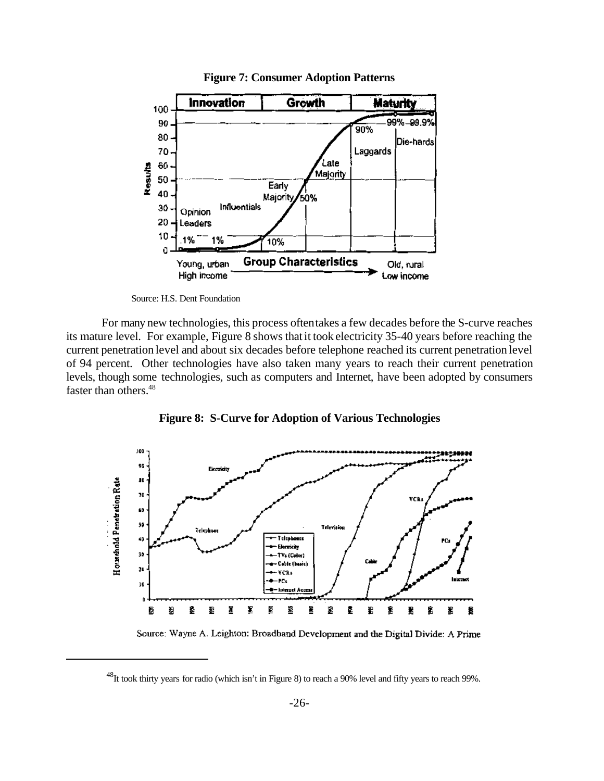

**Figure 7: Consumer Adoption Patterns**

Source: H.S. Dent Foundation

For many new technologies, this process oftentakes a few decades before the S-curve reaches its mature level. For example, Figure 8 shows thatit took electricity 35-40 years before reaching the current penetration level and about six decades before telephone reached its current penetration level of 94 percent. Other technologies have also taken many years to reach their current penetration levels, though some technologies, such as computers and Internet, have been adopted by consumers faster than others.<sup>48</sup>



**Figure 8:****S-Curve for Adoption of Various Technologies**

Source: Wayne A. Leighton: Broadband Development and the Digital Divide: A Prime

<sup>&</sup>lt;sup>48</sup>It took thirty years for radio (which isn't in Figure 8) to reach a 90% level and fifty years to reach 99%.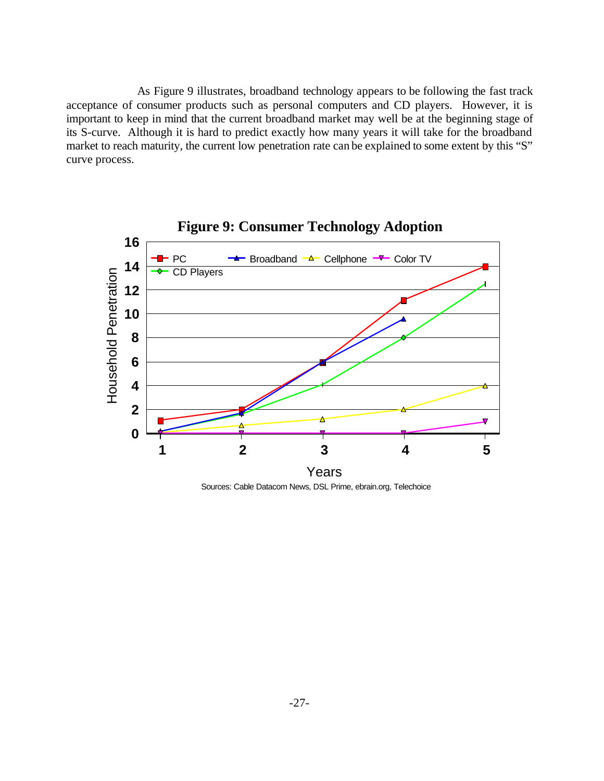As Figure 9 illustrates, broadband technology appears to be following the fast track acceptance of consumer products such as personal computers and CD players. However, it is important to keep in mind that the current broadband market may well be at the beginning stage of its S-curve. Although it is hard to predict exactly how many years it will take for the broadband market to reach maturity, the current low penetration rate can be explained to some extent by this "S" curve process.



Sources: Cable Datacom News, DSL Prime, ebrain.org, Telechoice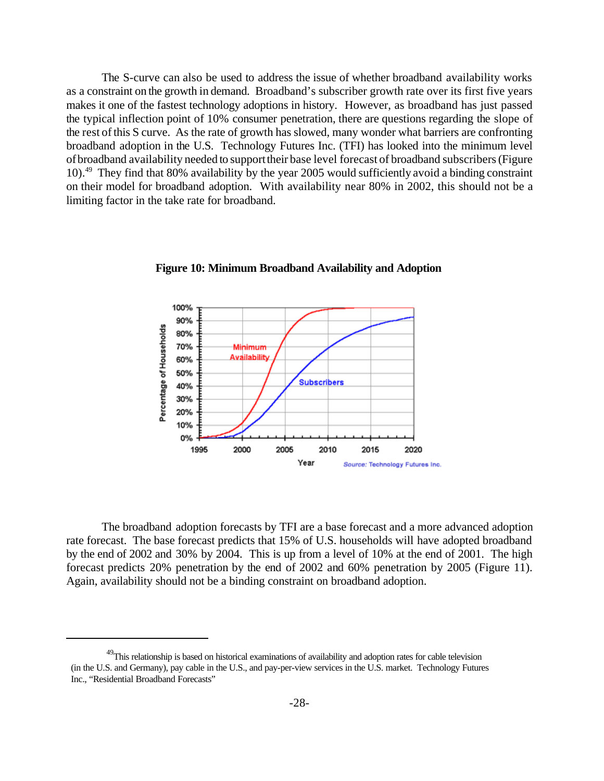The S-curve can also be used to address the issue of whether broadband availability works as a constraint on the growth in demand. Broadband's subscriber growth rate over its first five years makes it one of the fastest technology adoptions in history. However, as broadband has just passed the typical inflection point of 10% consumer penetration, there are questions regarding the slope of the rest of this S curve. As the rate of growth has slowed, many wonder what barriers are confronting broadband adoption in the U.S. Technology Futures Inc. (TFI) has looked into the minimum level ofbroadband availability needed to supporttheir base level forecast of broadband subscribers(Figure 10).<sup>49</sup> They find that 80% availability by the year 2005 would sufficiently avoid a binding constraint on their model for broadband adoption. With availability near 80% in 2002, this should not be a limiting factor in the take rate for broadband.



**Figure 10: Minimum Broadband Availability and Adoption**

The broadband adoption forecasts by TFI are a base forecast and a more advanced adoption rate forecast. The base forecast predicts that 15% of U.S. households will have adopted broadband by the end of 2002 and 30% by 2004. This is up from a level of 10% at the end of 2001. The high forecast predicts 20% penetration by the end of 2002 and 60% penetration by 2005 (Figure 11). Again, availability should not be a binding constraint on broadband adoption.

<sup>&</sup>lt;sup>49</sup>This relationship is based on historical examinations of availability and adoption rates for cable television (in the U.S. and Germany), pay cable in the U.S., and pay-per-view services in the U.S. market. Technology Futures Inc., "Residential Broadband Forecasts"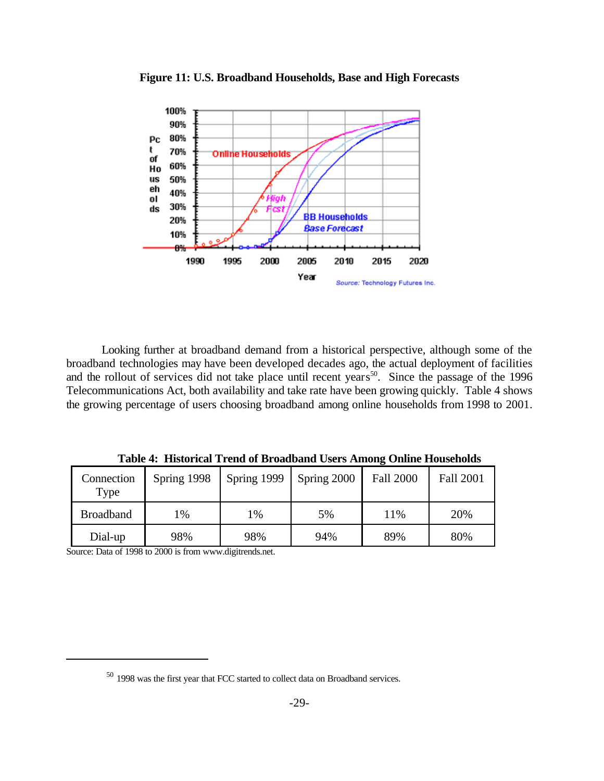

**Figure 11: U.S. Broadband Households, Base and High Forecasts**

Looking further at broadband demand from a historical perspective, although some of the broadband technologies may have been developed decades ago, the actual deployment of facilities and the rollout of services did not take place until recent years<sup>50</sup>. Since the passage of the 1996 Telecommunications Act, both availability and take rate have been growing quickly. Table 4 shows the growing percentage of users choosing broadband among online households from 1998 to 2001.

**Table 4: Historical Trend of Broadband Users Among Online Households**

| Connection<br>Type | Spring 1998   | Spring 1999 | Spring 2000 | <b>Fall 2000</b> | <b>Fall 2001</b> |
|--------------------|---------------|-------------|-------------|------------------|------------------|
| <b>Broadband</b>   | $\frac{9}{6}$ | 1%          | 5%          | 11%              | 20%              |
| Dial-up            | 98%           | 98%         | 94%         | 89%              | 80%              |

Source: Data of 1998 to 2000 is from www.digitrends.net.

 $50$  1998 was the first year that FCC started to collect data on Broadband services.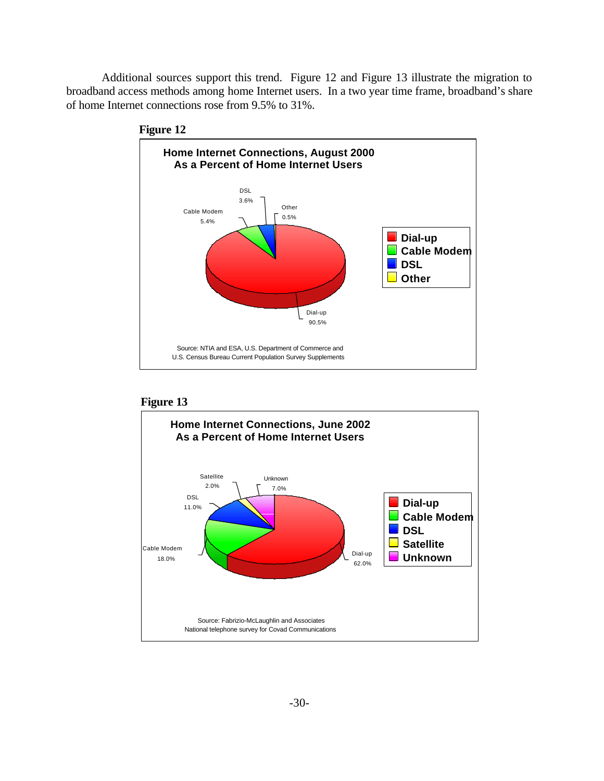Additional sources support this trend. Figure 12 and Figure 13 illustrate the migration to broadband access methods among home Internet users. In a two year time frame, broadband's share of home Internet connections rose from 9.5% to 31%.





#### **Figure 13**

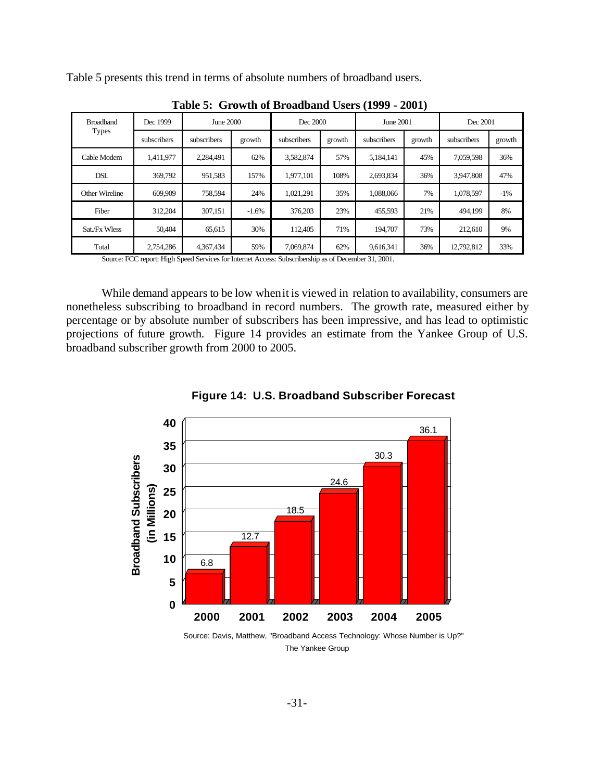Table 5 presents this trend in terms of absolute numbers of broadband users.

| <b>Broadband</b> | Dec 1999    | June 2000   |         | Dec 2000    |        | June 2001   |        | Dec 2001    |        |
|------------------|-------------|-------------|---------|-------------|--------|-------------|--------|-------------|--------|
| <b>Types</b>     | subscribers | subscribers | growth  | subscribers | growth | subscribers | growth | subscribers | growth |
| Cable Modem      | 1,411,977   | 2.284.491   | 62%     | 3,582,874   | 57%    | 5,184,141   | 45%    | 7,059,598   | 36%    |
| <b>DSL</b>       | 369,792     | 951,583     | 157%    | 1.977.101   | 108%   | 2,693,834   | 36%    | 3.947.808   | 47%    |
| Other Wireline   | 609,909     | 758,594     | 24%     | 1,021,291   | 35%    | 1,088,066   | 7%     | 1,078,597   | $-1\%$ |
| Fiber            | 312,204     | 307,151     | $-1.6%$ | 376,203     | 23%    | 455,593     | 21%    | 494,199     | 8%     |
| Sat./Fx Wless    | 50.404      | 65,615      | 30%     | 112.405     | 71%    | 194,707     | 73%    | 212,610     | 9%     |
| Total            | 2,754,286   | 4,367,434   | 59%     | 7,069,874   | 62%    | 9,616,341   | 36%    | 12,792,812  | 33%    |

**Table 5: Growth of Broadband Users (1999 - 2001)**

Source: FCC report: High Speed Services for Internet Access: Subscribership as of December 31, 2001.

While demand appears to be low whenit is viewed in relation to availability, consumers are nonetheless subscribing to broadband in record numbers. The growth rate, measured either by percentage or by absolute number of subscribers has been impressive, and has lead to optimistic projections of future growth. Figure 14 provides an estimate from the Yankee Group of U.S. broadband subscriber growth from 2000 to 2005.



**Figure 14: U.S. Broadband Subscriber Forecast**

The Yankee Group Source: Davis, Matthew, "Broadband Access Technology: Whose Number is Up?"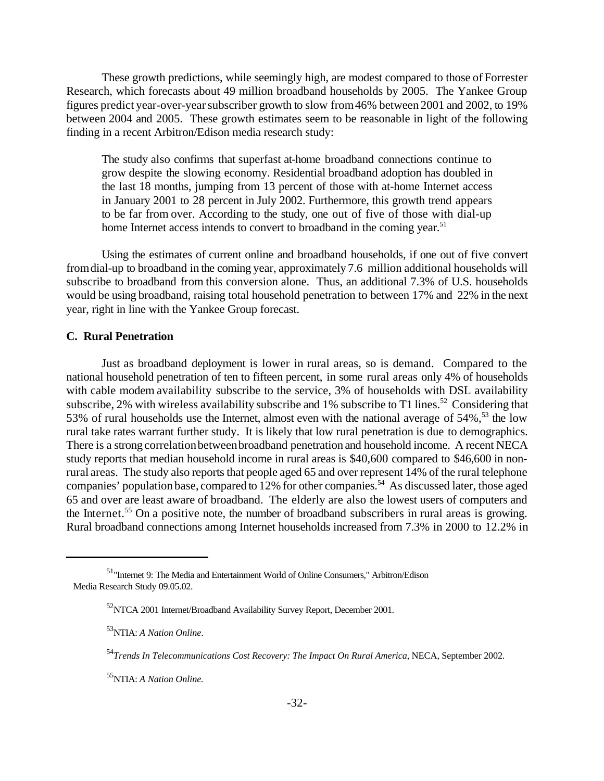These growth predictions, while seemingly high, are modest compared to those of Forrester Research, which forecasts about 49 million broadband households by 2005. The Yankee Group figures predict year-over-yearsubscriber growth to slow from46% between 2001 and 2002, to 19% between 2004 and 2005. These growth estimates seem to be reasonable in light of the following finding in a recent Arbitron/Edison media research study:

The study also confirms that superfast at-home broadband connections continue to grow despite the slowing economy. Residential broadband adoption has doubled in the last 18 months, jumping from 13 percent of those with at-home Internet access in January 2001 to 28 percent in July 2002. Furthermore, this growth trend appears to be far from over. According to the study, one out of five of those with dial-up home Internet access intends to convert to broadband in the coming year.<sup>51</sup>

Using the estimates of current online and broadband households, if one out of five convert fromdial-up to broadband in the coming year, approximately 7.6 million additional households will subscribe to broadband from this conversion alone. Thus, an additional 7.3% of U.S. households would be using broadband, raising total household penetration to between 17% and 22% in the next year, right in line with the Yankee Group forecast.

#### **C. Rural Penetration**

Just as broadband deployment is lower in rural areas, so is demand. Compared to the national household penetration of ten to fifteen percent, in some rural areas only 4% of households with cable modem availability subscribe to the service, 3% of households with DSL availability subscribe, 2% with wireless availability subscribe and 1% subscribe to T1 lines.<sup>52</sup> Considering that 53% of rural households use the Internet, almost even with the national average of  $54\%$ ,<sup>53</sup> the low rural take rates warrant further study. It is likely that low rural penetration is due to demographics. There is a strong correlationbetweenbroadband penetration and household income. A recent NECA study reports that median household income in rural areas is \$40,600 compared to \$46,600 in nonrural areas. The study also reports that people aged 65 and over represent 14% of the rural telephone companies' population base, compared to 12% for other companies.<sup>54</sup> As discussed later, those aged 65 and over are least aware of broadband. The elderly are also the lowest users of computers and the Internet.<sup>55</sup> On a positive note, the number of broadband subscribers in rural areas is growing. Rural broadband connections among Internet households increased from 7.3% in 2000 to 12.2% in

<sup>51</sup>"Internet 9: The Media and Entertainment World of Online Consumers," Arbitron/Edison Media Research Study 09.05.02.

<sup>&</sup>lt;sup>52</sup>NTCA 2001 Internet/Broadband Availability Survey Report, December 2001.

<sup>53</sup>NTIA: *A Nation Online*.

<sup>54</sup>*Trends In Telecommunications Cost Recovery: The Impact On Rural America*, NECA, September 2002.

<sup>55</sup>NTIA: *A Nation Online.*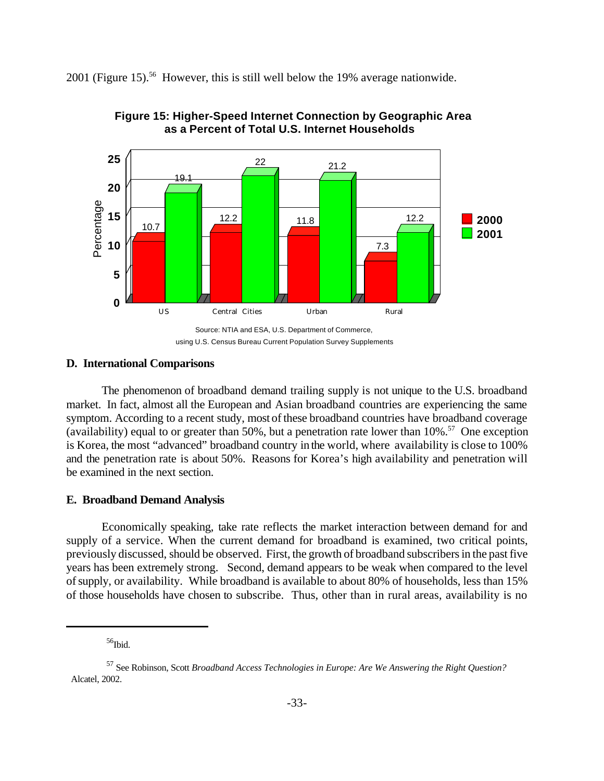2001 (Figure 15).<sup>56</sup> However, this is still well below the 19% average nationwide.





#### **D. International Comparisons**

The phenomenon of broadband demand trailing supply is not unique to the U.S. broadband market. In fact, almost all the European and Asian broadband countries are experiencing the same symptom. According to a recent study, most of these broadband countries have broadband coverage (availability) equal to or greater than 50%, but a penetration rate lower than  $10\%$ <sup>57</sup> One exception is Korea, the most "advanced" broadband country in the world, where availability is close to 100% and the penetration rate is about 50%. Reasons for Korea's high availability and penetration will be examined in the next section.

#### **E. Broadband Demand Analysis**

Economically speaking, take rate reflects the market interaction between demand for and supply of a service. When the current demand for broadband is examined, two critical points, previously discussed, should be observed. First, the growth of broadband subscribers in the past five years has been extremely strong. Second, demand appears to be weak when compared to the level ofsupply, or availability. While broadband is available to about 80% of households, less than 15% of those households have chosen to subscribe. Thus, other than in rural areas, availability is no

 $56$ Ibid.

using U.S. Census Bureau Current Population Survey Supplements

<sup>57</sup> See Robinson, Scott *Broadband Access Technologies in Europe: Are We Answering the Right Question?* Alcatel, 2002.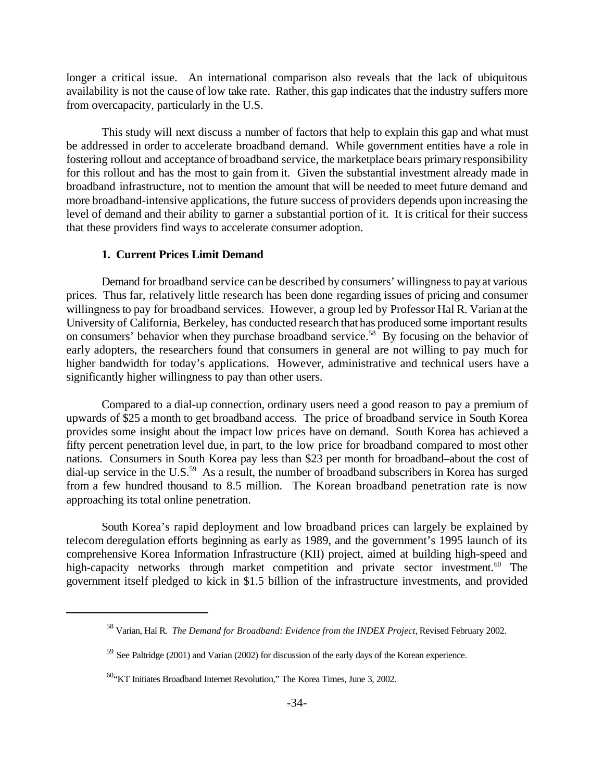longer a critical issue. An international comparison also reveals that the lack of ubiquitous availability is not the cause of low take rate. Rather, this gap indicates that the industry suffers more from overcapacity, particularly in the U.S.

This study will next discuss a number of factors that help to explain this gap and what must be addressed in order to accelerate broadband demand. While government entities have a role in fostering rollout and acceptance of broadband service, the marketplace bears primary responsibility for this rollout and has the most to gain from it. Given the substantial investment already made in broadband infrastructure, not to mention the amount that will be needed to meet future demand and more broadband-intensive applications, the future success of providers depends upon increasing the level of demand and their ability to garner a substantial portion of it. It is critical for their success that these providers find ways to accelerate consumer adoption.

#### **1. Current Prices Limit Demand**

Demand for broadband service can be described by consumers' willingness to payat various prices. Thus far, relatively little research has been done regarding issues of pricing and consumer willingness to pay for broadband services. However, a group led by Professor Hal R. Varian at the University of California, Berkeley, has conducted research that has produced some important results on consumers' behavior when they purchase broadband service.<sup>58</sup> By focusing on the behavior of early adopters, the researchers found that consumers in general are not willing to pay much for higher bandwidth for today's applications. However, administrative and technical users have a significantly higher willingness to pay than other users.

Compared to a dial-up connection, ordinary users need a good reason to pay a premium of upwards of \$25 a month to get broadband access. The price of broadband service in South Korea provides some insight about the impact low prices have on demand. South Korea has achieved a fifty percent penetration level due, in part, to the low price for broadband compared to most other nations. Consumers in South Korea pay less than \$23 per month for broadband–about the cost of dial-up service in the U.S.<sup>59</sup> As a result, the number of broadband subscribers in Korea has surged from a few hundred thousand to 8.5 million. The Korean broadband penetration rate is now approaching its total online penetration.

South Korea's rapid deployment and low broadband prices can largely be explained by telecom deregulation efforts beginning as early as 1989, and the government's 1995 launch of its comprehensive Korea Information Infrastructure (KII) project, aimed at building high-speed and high-capacity networks through market competition and private sector investment.<sup>60</sup> The government itself pledged to kick in \$1.5 billion of the infrastructure investments, and provided

<sup>58</sup> Varian, Hal R. *The Demand for Broadband: Evidence from the INDEX Project,* Revised February 2002.

<sup>&</sup>lt;sup>59</sup> See Paltridge (2001) and Varian (2002) for discussion of the early days of the Korean experience.

 $60$ . KT Initiates Broadband Internet Revolution," The Korea Times, June 3, 2002.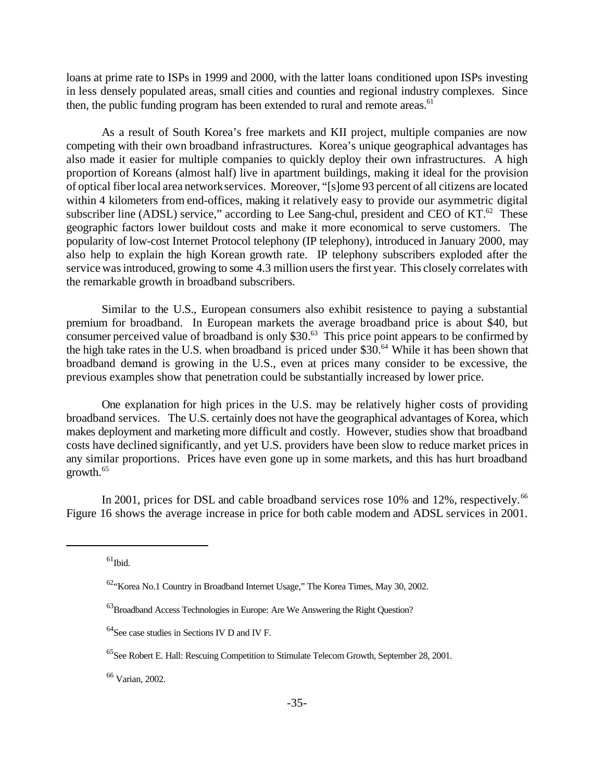loans at prime rate to ISPs in 1999 and 2000, with the latter loans conditioned upon ISPs investing in less densely populated areas, small cities and counties and regional industry complexes. Since then, the public funding program has been extended to rural and remote areas.<sup>61</sup>

As a result of South Korea's free markets and KII project, multiple companies are now competing with their own broadband infrastructures. Korea's unique geographical advantages has also made it easier for multiple companies to quickly deploy their own infrastructures. A high proportion of Koreans (almost half) live in apartment buildings, making it ideal for the provision of optical fiberlocal area networkservices. Moreover, "[s]ome 93 percent of all citizens are located within 4 kilometers from end-offices, making it relatively easy to provide our asymmetric digital subscriber line (ADSL) service," according to Lee Sang-chul, president and CEO of  $KT<sup>62</sup>$ . These geographic factors lower buildout costs and make it more economical to serve customers. The popularity of low-cost Internet Protocol telephony (IP telephony), introduced in January 2000, may also help to explain the high Korean growth rate. IP telephony subscribers exploded after the service was introduced, growing to some 4.3 million users the first year. This closely correlates with the remarkable growth in broadband subscribers.

Similar to the U.S., European consumers also exhibit resistence to paying a substantial premium for broadband. In European markets the average broadband price is about \$40, but consumer perceived value of broadband is only  $$30<sup>63</sup>$ . This price point appears to be confirmed by the high take rates in the U.S. when broadband is priced under \$30.<sup>64</sup> While it has been shown that broadband demand is growing in the U.S., even at prices many consider to be excessive, the previous examples show that penetration could be substantially increased by lower price.

One explanation for high prices in the U.S. may be relatively higher costs of providing broadband services. The U.S. certainly does not have the geographical advantages of Korea, which makes deployment and marketing more difficult and costly. However, studies show that broadband costs have declined significantly, and yet U.S. providers have been slow to reduce market prices in any similar proportions. Prices have even gone up in some markets, and this has hurt broadband growth.<sup>65</sup>

In 2001, prices for DSL and cable broadband services rose  $10\%$  and  $12\%$ , respectively.<sup>66</sup> Figure 16 shows the average increase in price for both cable modem and ADSL services in 2001.

 $61$ Ibid.

 $62$ . Korea No.1 Country in Broadband Internet Usage," The Korea Times, May 30, 2002.

<sup>&</sup>lt;sup>63</sup>Broadband Access Technologies in Europe: Are We Answering the Right Question?

 $^{64}$ See case studies in Sections IV D and IV F.

<sup>&</sup>lt;sup>65</sup>See Robert E. Hall: Rescuing Competition to Stimulate Telecom Growth, September 28, 2001.

<sup>66</sup> Varian, 2002.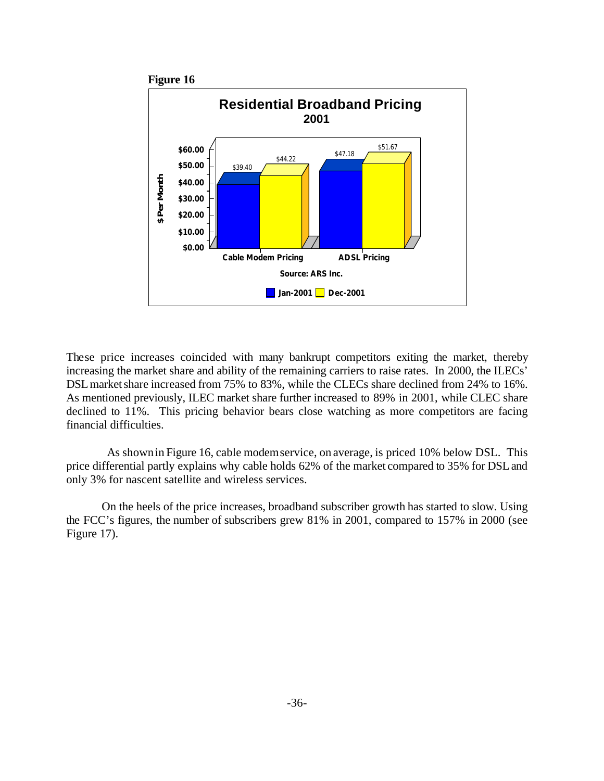

These price increases coincided with many bankrupt competitors exiting the market, thereby increasing the market share and ability of the remaining carriers to raise rates. In 2000, the ILECs' DSL market share increased from 75% to 83%, while the CLECs share declined from 24% to 16%. As mentioned previously, ILEC market share further increased to 89% in 2001, while CLEC share declined to 11%. This pricing behavior bears close watching as more competitors are facing financial difficulties.

As shownin Figure 16, cable modemservice, on average, is priced 10% below DSL. This price differential partly explains why cable holds 62% of the market compared to 35% for DSLand only 3% for nascent satellite and wireless services.

On the heels of the price increases, broadband subscriber growth has started to slow. Using the FCC's figures, the number of subscribers grew 81% in 2001, compared to 157% in 2000 (see Figure 17).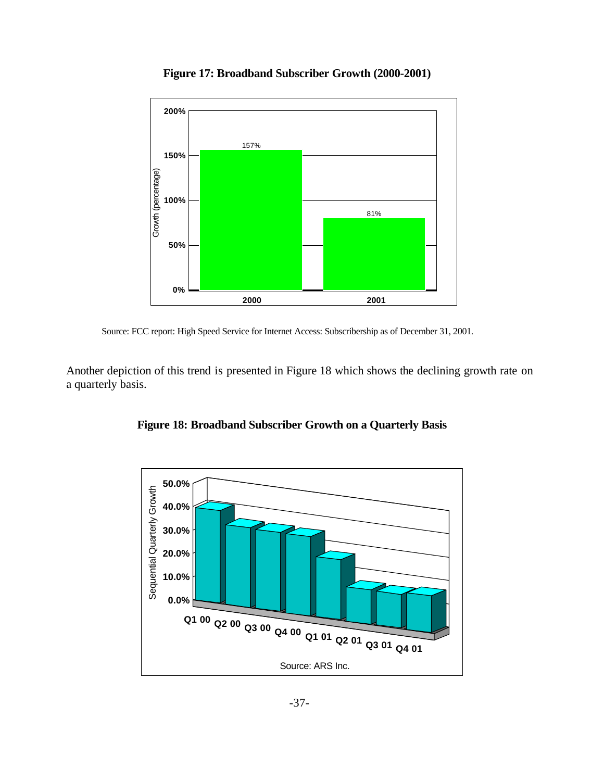

**Figure 17: Broadband Subscriber Growth (2000-2001)**



Another depiction of this trend is presented in Figure 18 which shows the declining growth rate on a quarterly basis.



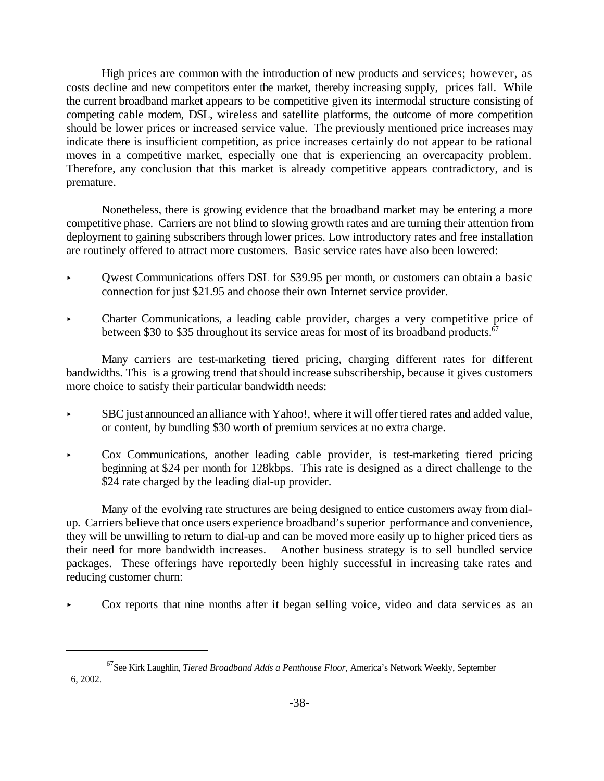High prices are common with the introduction of new products and services; however, as costs decline and new competitors enter the market, thereby increasing supply, prices fall. While the current broadband market appears to be competitive given its intermodal structure consisting of competing cable modem, DSL, wireless and satellite platforms, the outcome of more competition should be lower prices or increased service value. The previously mentioned price increases may indicate there is insufficient competition, as price increases certainly do not appear to be rational moves in a competitive market, especially one that is experiencing an overcapacity problem. Therefore, any conclusion that this market is already competitive appears contradictory, and is premature.

Nonetheless, there is growing evidence that the broadband market may be entering a more competitive phase. Carriers are not blind to slowing growth rates and are turning their attention from deployment to gaining subscribers through lower prices. Low introductory rates and free installation are routinely offered to attract more customers. Basic service rates have also been lowered:

- < Qwest Communications offers DSL for \$39.95 per month, or customers can obtain a basic connection for just \$21.95 and choose their own Internet service provider.
- Charter Communications, a leading cable provider, charges a very competitive price of between \$30 to \$35 throughout its service areas for most of its broadband products.<sup>67</sup>

Many carriers are test-marketing tiered pricing, charging different rates for different bandwidths. This is a growing trend thatshould increase subscribership, because it gives customers more choice to satisfy their particular bandwidth needs:

- < SBC just announced an alliance with Yahoo!, where it will offer tiered rates and added value, or content, by bundling \$30 worth of premium services at no extra charge.
- < Cox Communications, another leading cable provider, is test-marketing tiered pricing beginning at \$24 per month for 128kbps. This rate is designed as a direct challenge to the \$24 rate charged by the leading dial-up provider.

Many of the evolving rate structures are being designed to entice customers away from dialup. Carriers believe that once users experience broadband's superior performance and convenience, they will be unwilling to return to dial-up and can be moved more easily up to higher priced tiers as their need for more bandwidth increases. Another business strategy is to sell bundled service packages. These offerings have reportedly been highly successful in increasing take rates and reducing customer churn:

< Cox reports that nine months after it began selling voice, video and data services as an

<sup>67</sup>See Kirk Laughlin, *Tiered Broadband Adds a Penthouse Floor*, America's Network Weekly, September 6, 2002.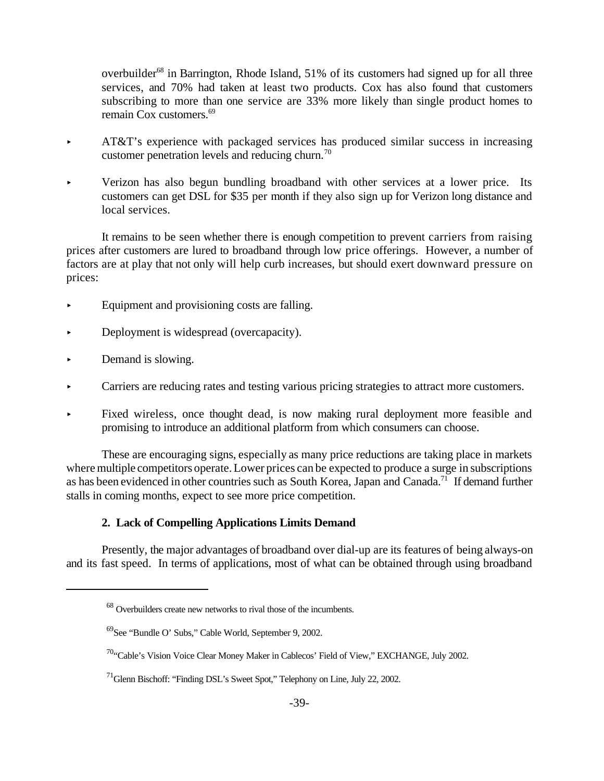overbuilder<sup>68</sup> in Barrington, Rhode Island,  $51\%$  of its customers had signed up for all three services, and 70% had taken at least two products. Cox has also found that customers subscribing to more than one service are 33% more likely than single product homes to remain Cox customers.<sup>69</sup>

- AT&T's experience with packaged services has produced similar success in increasing customer penetration levels and reducing churn.<sup>70</sup>
- < Verizon has also begun bundling broadband with other services at a lower price. Its customers can get DSL for \$35 per month if they also sign up for Verizon long distance and local services.

It remains to be seen whether there is enough competition to prevent carriers from raising prices after customers are lured to broadband through low price offerings. However, a number of factors are at play that not only will help curb increases, but should exert downward pressure on prices:

- < Equipment and provisioning costs are falling.
- Deployment is widespread (overcapacity).
- < Demand is slowing.
- < Carriers are reducing rates and testing various pricing strategies to attract more customers.
- < Fixed wireless, once thought dead, is now making rural deployment more feasible and promising to introduce an additional platform from which consumers can choose.

These are encouraging signs, especially as many price reductions are taking place in markets where multiple competitors operate. Lower prices can be expected to produce a surge in subscriptions as has been evidenced in other countries such as South Korea, Japan and Canada.<sup>71</sup> If demand further stalls in coming months, expect to see more price competition.

#### **2. Lack of Compelling Applications Limits Demand**

Presently, the major advantages of broadband over dial-up are its features of being always-on and its fast speed. In terms of applications, most of what can be obtained through using broadband

<sup>68</sup> Overbuilders create new networks to rival those of the incumbents.

<sup>69</sup>See "Bundle O' Subs," Cable World, September 9, 2002.

<sup>&</sup>lt;sup>70</sup>"Cable's Vision Voice Clear Money Maker in Cablecos' Field of View," EXCHANGE, July 2002.

<sup>71</sup>Glenn Bischoff: "Finding DSL's Sweet Spot," Telephony on Line, July 22, 2002.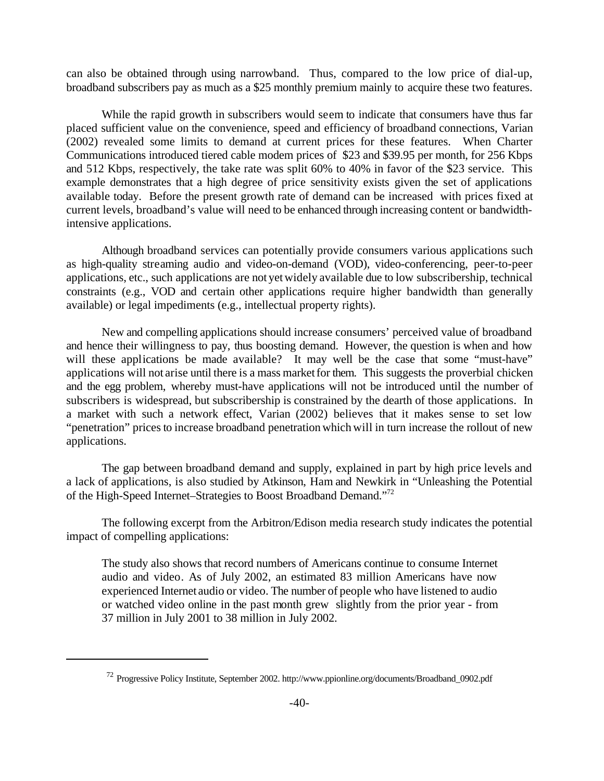can also be obtained through using narrowband. Thus, compared to the low price of dial-up, broadband subscribers pay as much as a \$25 monthly premium mainly to acquire these two features.

While the rapid growth in subscribers would seem to indicate that consumers have thus far placed sufficient value on the convenience, speed and efficiency of broadband connections, Varian (2002) revealed some limits to demand at current prices for these features. When Charter Communications introduced tiered cable modem prices of \$23 and \$39.95 per month, for 256 Kbps and 512 Kbps, respectively, the take rate was split 60% to 40% in favor of the \$23 service. This example demonstrates that a high degree of price sensitivity exists given the set of applications available today. Before the present growth rate of demand can be increased with prices fixed at current levels, broadband's value will need to be enhanced through increasing content or bandwidthintensive applications.

Although broadband services can potentially provide consumers various applications such as high-quality streaming audio and video-on-demand (VOD), video-conferencing, peer-to-peer applications, etc., such applications are not yetwidely available due to low subscribership, technical constraints (e.g., VOD and certain other applications require higher bandwidth than generally available) or legal impediments (e.g., intellectual property rights).

New and compelling applications should increase consumers' perceived value of broadband and hence their willingness to pay, thus boosting demand. However, the question is when and how will these applications be made available? It may well be the case that some "must-have" applications will not arise until there is a mass marketfor them. This suggests the proverbial chicken and the egg problem, whereby must-have applications will not be introduced until the number of subscribers is widespread, but subscribership is constrained by the dearth of those applications. In a market with such a network effect, Varian (2002) believes that it makes sense to set low "penetration" prices to increase broadband penetration which will in turn increase the rollout of new applications.

The gap between broadband demand and supply, explained in part by high price levels and a lack of applications, is also studied by Atkinson, Ham and Newkirk in "Unleashing the Potential of the High-Speed Internet–Strategies to Boost Broadband Demand."<sup>72</sup>

The following excerpt from the Arbitron/Edison media research study indicates the potential impact of compelling applications:

The study also shows that record numbers of Americans continue to consume Internet audio and video. As of July 2002, an estimated 83 million Americans have now experienced Internet audio or video. The number of people who have listened to audio or watched video online in the past month grew slightly from the prior year - from 37 million in July 2001 to 38 million in July 2002.

<sup>72</sup> Progressive Policy Institute, September 2002. http://www.ppionline.org/documents/Broadband\_0902.pdf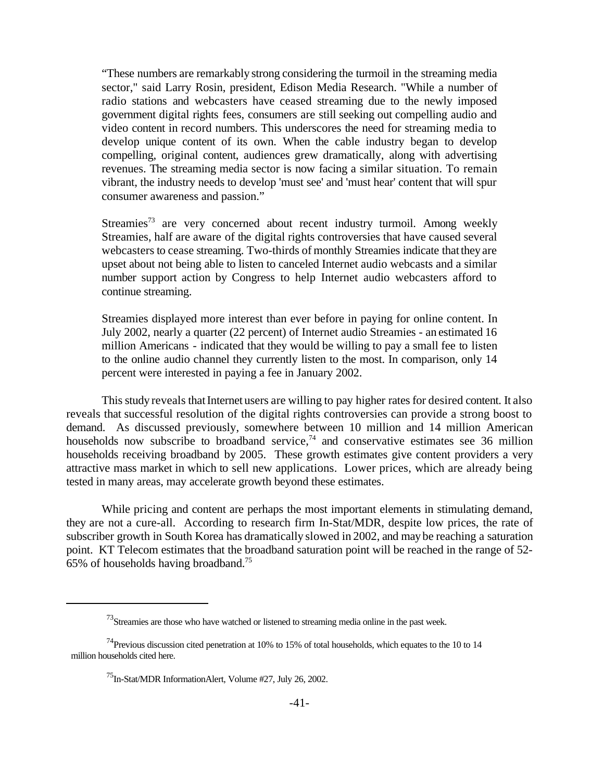"These numbers are remarkably strong considering the turmoil in the streaming media sector," said Larry Rosin, president, Edison Media Research. "While a number of radio stations and webcasters have ceased streaming due to the newly imposed government digital rights fees, consumers are still seeking out compelling audio and video content in record numbers. This underscores the need for streaming media to develop unique content of its own. When the cable industry began to develop compelling, original content, audiences grew dramatically, along with advertising revenues. The streaming media sector is now facing a similar situation. To remain vibrant, the industry needs to develop 'must see' and 'must hear' content that will spur consumer awareness and passion."

Streamies<sup>73</sup> are very concerned about recent industry turmoil. Among weekly Streamies, half are aware of the digital rights controversies that have caused several webcasters to cease streaming. Two-thirds of monthly Streamies indicate that they are upset about not being able to listen to canceled Internet audio webcasts and a similar number support action by Congress to help Internet audio webcasters afford to continue streaming.

Streamies displayed more interest than ever before in paying for online content. In July 2002, nearly a quarter (22 percent) of Internet audio Streamies - an estimated 16 million Americans - indicated that they would be willing to pay a small fee to listen to the online audio channel they currently listen to the most. In comparison, only 14 percent were interested in paying a fee in January 2002.

This study reveals that Internet users are willing to pay higher rates for desired content. It also reveals that successful resolution of the digital rights controversies can provide a strong boost to demand. As discussed previously, somewhere between 10 million and 14 million American households now subscribe to broadband service, $74$  and conservative estimates see 36 million households receiving broadband by 2005. These growth estimates give content providers a very attractive mass market in which to sell new applications. Lower prices, which are already being tested in many areas, may accelerate growth beyond these estimates.

While pricing and content are perhaps the most important elements in stimulating demand, they are not a cure-all. According to research firm In-Stat/MDR, despite low prices, the rate of subscriber growth in South Korea has dramatically slowed in 2002, and may be reaching a saturation point. KT Telecom estimates that the broadband saturation point will be reached in the range of 52- 65% of households having broadband.75

 $^{73}$ Streamies are those who have watched or listened to streaming media online in the past week.

 $74$ Previous discussion cited penetration at 10% to 15% of total households, which equates to the 10 to 14 million households cited here.

<sup>75</sup>In-Stat/MDR InformationAlert, Volume #27, July 26, 2002.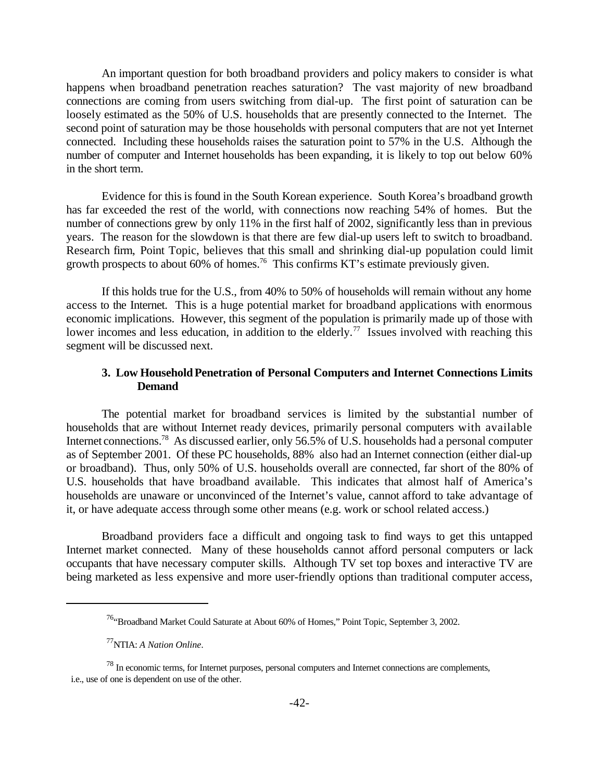An important question for both broadband providers and policy makers to consider is what happens when broadband penetration reaches saturation? The vast majority of new broadband connections are coming from users switching from dial-up. The first point of saturation can be loosely estimated as the 50% of U.S. households that are presently connected to the Internet. The second point of saturation may be those households with personal computers that are not yet Internet connected. Including these households raises the saturation point to 57% in the U.S. Although the number of computer and Internet households has been expanding, it is likely to top out below 60% in the short term.

Evidence for this is found in the South Korean experience. South Korea's broadband growth has far exceeded the rest of the world, with connections now reaching 54% of homes. But the number of connections grew by only 11% in the first half of 2002, significantly less than in previous years. The reason for the slowdown is that there are few dial-up users left to switch to broadband. Research firm, Point Topic, believes that this small and shrinking dial-up population could limit growth prospects to about 60% of homes.<sup>76</sup> This confirms KT's estimate previously given.

If this holds true for the U.S., from 40% to 50% of households will remain without any home access to the Internet. This is a huge potential market for broadband applications with enormous economic implications. However, this segment of the population is primarily made up of those with lower incomes and less education, in addition to the elderly.<sup>77</sup> Issues involved with reaching this segment will be discussed next.

#### **3. Low Household Penetration of Personal Computers and Internet Connections Limits Demand**

The potential market for broadband services is limited by the substantial number of households that are without Internet ready devices, primarily personal computers with available Internet connections.<sup>78</sup> As discussed earlier, only 56.5% of U.S. households had a personal computer as of September 2001. Of these PC households, 88% also had an Internet connection (either dial-up or broadband). Thus, only 50% of U.S. households overall are connected, far short of the 80% of U.S. households that have broadband available. This indicates that almost half of America's households are unaware or unconvinced of the Internet's value, cannot afford to take advantage of it, or have adequate access through some other means (e.g. work or school related access.)

Broadband providers face a difficult and ongoing task to find ways to get this untapped Internet market connected. Many of these households cannot afford personal computers or lack occupants that have necessary computer skills. Although TV set top boxes and interactive TV are being marketed as less expensive and more user-friendly options than traditional computer access,

<sup>&</sup>lt;sup>76</sup>"Broadband Market Could Saturate at About 60% of Homes," Point Topic, September 3, 2002.

<sup>77</sup>NTIA: *A Nation Online*.

<sup>&</sup>lt;sup>78</sup> In economic terms, for Internet purposes, personal computers and Internet connections are complements, i.e., use of one is dependent on use of the other.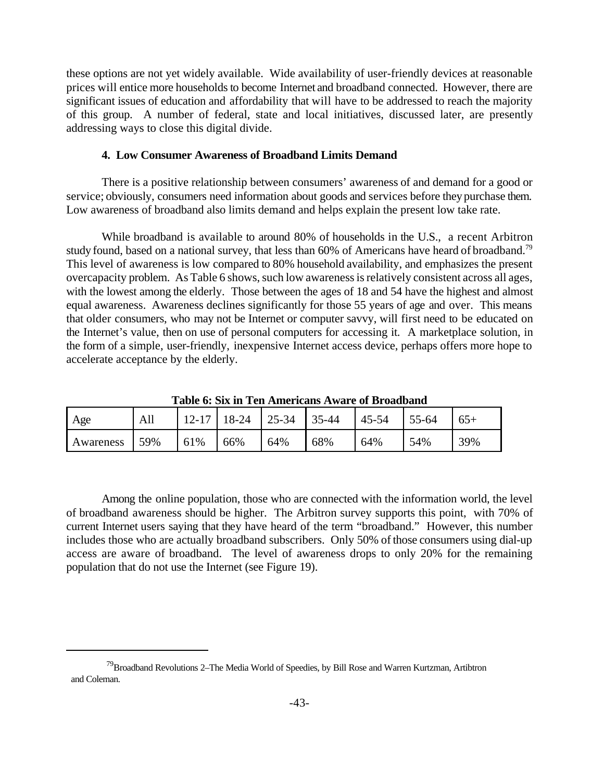these options are not yet widely available. Wide availability of user-friendly devices at reasonable prices will entice more households to become Internet and broadband connected. However, there are significant issues of education and affordability that will have to be addressed to reach the majority of this group. A number of federal, state and local initiatives, discussed later, are presently addressing ways to close this digital divide.

#### **4. Low Consumer Awareness of Broadband Limits Demand**

There is a positive relationship between consumers' awareness of and demand for a good or service; obviously, consumers need information about goods and services before they purchase them. Low awareness of broadband also limits demand and helps explain the present low take rate.

While broadband is available to around 80% of households in the U.S., a recent Arbitron study found, based on a national survey, that less than  $60\%$  of Americans have heard of broadband.<sup>79</sup> This level of awareness is low compared to 80% household availability, and emphasizes the present overcapacity problem. As Table 6 shows, such low awareness is relatively consistent across all ages, with the lowest among the elderly. Those between the ages of 18 and 54 have the highest and almost equal awareness. Awareness declines significantly for those 55 years of age and over. This means that older consumers, who may not be Internet or computer savvy, will first need to be educated on the Internet's value, then on use of personal computers for accessing it. A marketplace solution, in the form of a simple, user-friendly, inexpensive Internet access device, perhaps offers more hope to accelerate acceptance by the elderly.

| Age       | All  |     | $12-17$   18-24   25-34   35-44 |     |     | $45 - 54$ | $155-64$ | $65+$ |
|-----------|------|-----|---------------------------------|-----|-----|-----------|----------|-------|
| Awareness | 159% | 61% | 66%                             | 64% | 68% | 64%       | 54%      | 39%   |

**Table 6: Six in Ten Americans Aware of Broadband**

Among the online population, those who are connected with the information world, the level of broadband awareness should be higher. The Arbitron survey supports this point, with 70% of current Internet users saying that they have heard of the term "broadband." However, this number includes those who are actually broadband subscribers. Only 50% of those consumers using dial-up access are aware of broadband. The level of awareness drops to only 20% for the remaining population that do not use the Internet (see Figure 19).

<sup>&</sup>lt;sup>79</sup>Broadband Revolutions 2–The Media World of Speedies, by Bill Rose and Warren Kurtzman, Artibtron and Coleman.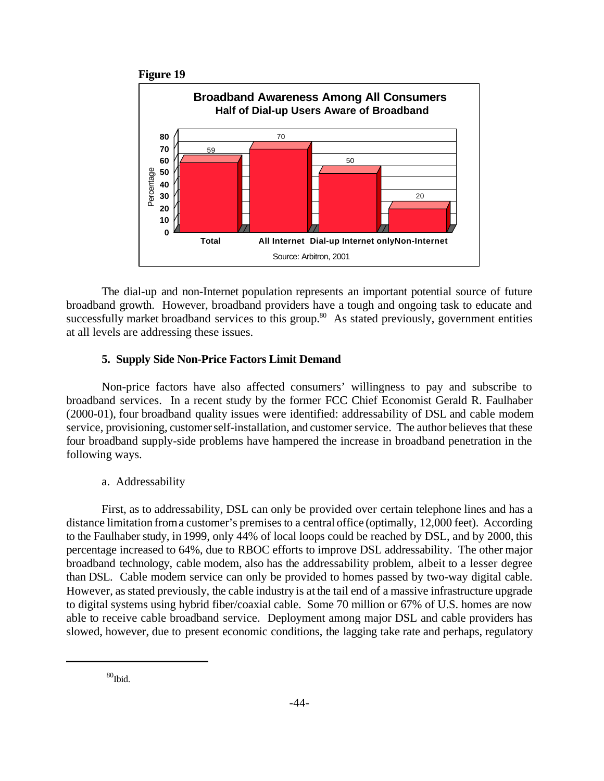



The dial-up and non-Internet population represents an important potential source of future broadband growth. However, broadband providers have a tough and ongoing task to educate and successfully market broadband services to this group.<sup>80</sup> As stated previously, government entities at all levels are addressing these issues.

#### **5. Supply Side Non-Price Factors Limit Demand**

Non-price factors have also affected consumers' willingness to pay and subscribe to broadband services. In a recent study by the former FCC Chief Economist Gerald R. Faulhaber (2000-01), four broadband quality issues were identified: addressability of DSL and cable modem service, provisioning, customer self-installation, and customer service. The author believes that these four broadband supply-side problems have hampered the increase in broadband penetration in the following ways.

#### a. Addressability

First, as to addressability, DSL can only be provided over certain telephone lines and has a distance limitation froma customer's premises to a central office (optimally, 12,000 feet). According to the Faulhaber study, in 1999, only 44% of local loops could be reached by DSL, and by 2000, this percentage increased to 64%, due to RBOC efforts to improve DSL addressability. The other major broadband technology, cable modem, also has the addressability problem, albeit to a lesser degree than DSL. Cable modem service can only be provided to homes passed by two-way digital cable. However, as stated previously, the cable industry is at the tail end of a massive infrastructure upgrade to digital systems using hybrid fiber/coaxial cable. Some 70 million or 67% of U.S. homes are now able to receive cable broadband service. Deployment among major DSL and cable providers has slowed, however, due to present economic conditions, the lagging take rate and perhaps, regulatory

 $80<sub>10</sub>$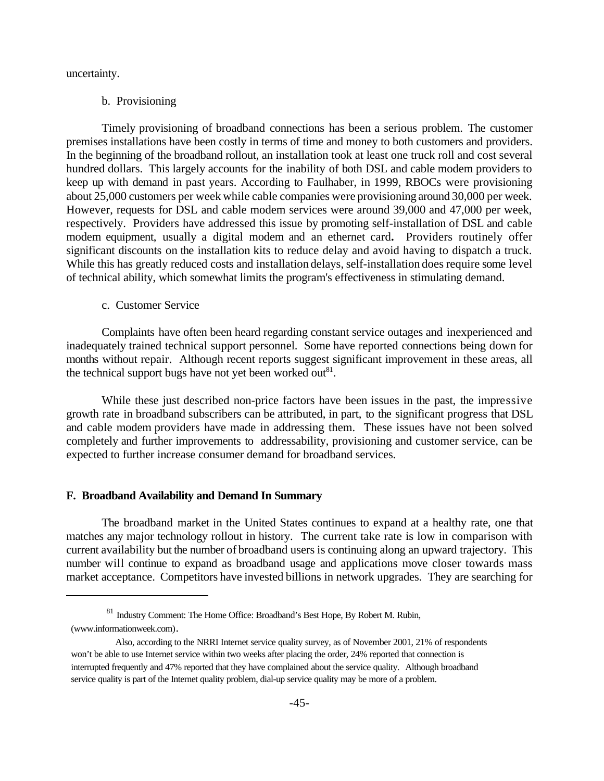uncertainty.

#### b. Provisioning

Timely provisioning of broadband connections has been a serious problem. The customer premises installations have been costly in terms of time and money to both customers and providers. In the beginning of the broadband rollout, an installation took at least one truck roll and cost several hundred dollars. This largely accounts for the inability of both DSL and cable modem providers to keep up with demand in past years. According to Faulhaber, in 1999, RBOCs were provisioning about 25,000 customers per week while cable companies were provisioning around 30,000 per week. However, requests for DSL and cable modem services were around 39,000 and 47,000 per week, respectively. Providers have addressed this issue by promoting self-installation of DSL and cable modem equipment, usually a digital modem and an ethernet card**.** Providers routinely offer significant discounts on the installation kits to reduce delay and avoid having to dispatch a truck. While this has greatly reduced costs and installation delays, self-installation does require some level of technical ability, which somewhat limits the program's effectiveness in stimulating demand.

#### c. Customer Service

Complaints have often been heard regarding constant service outages and inexperienced and inadequately trained technical support personnel. Some have reported connections being down for months without repair. Although recent reports suggest significant improvement in these areas, all the technical support bugs have not yet been worked out $81$ .

While these just described non-price factors have been issues in the past, the impressive growth rate in broadband subscribers can be attributed, in part, to the significant progress that DSL and cable modem providers have made in addressing them. These issues have not been solved completely and further improvements to addressability, provisioning and customer service, can be expected to further increase consumer demand for broadband services.

#### **F. Broadband Availability and Demand In Summary**

The broadband market in the United States continues to expand at a healthy rate, one that matches any major technology rollout in history. The current take rate is low in comparison with current availability but the number of broadband users is continuing along an upward trajectory. This number will continue to expand as broadband usage and applications move closer towards mass market acceptance. Competitors have invested billions in network upgrades. They are searching for

<sup>81</sup> Industry Comment: The Home Office: Broadband's Best Hope, By Robert M. Rubin, (www.informationweek.com).

Also, according to the NRRI Internet service quality survey, as of November 2001, 21% of respondents won't be able to use Internet service within two weeks after placing the order, 24% reported that connection is interrupted frequently and 47% reported that they have complained about the service quality. Although broadband service quality is part of the Internet quality problem, dial-up service quality may be more of a problem.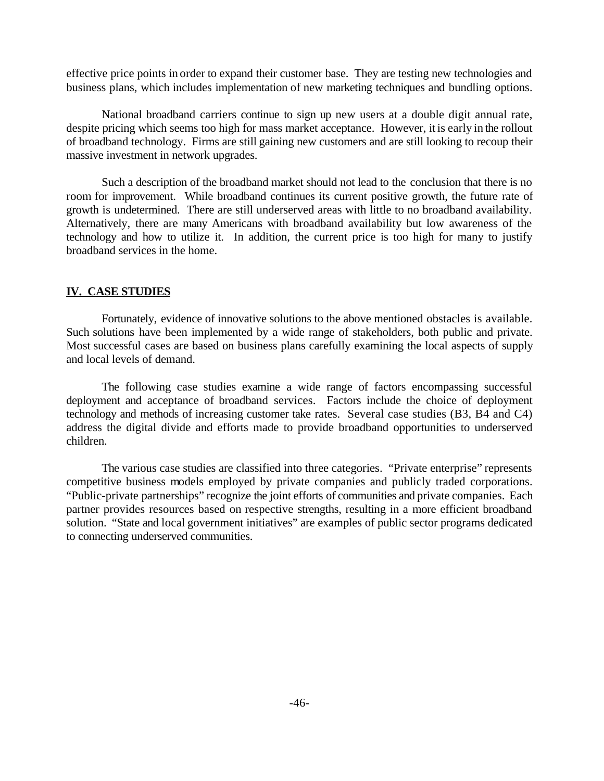effective price points in order to expand their customer base. They are testing new technologies and business plans, which includes implementation of new marketing techniques and bundling options.

National broadband carriers continue to sign up new users at a double digit annual rate, despite pricing which seems too high for mass market acceptance. However, it is early in the rollout of broadband technology. Firms are still gaining new customers and are still looking to recoup their massive investment in network upgrades.

Such a description of the broadband market should not lead to the conclusion that there is no room for improvement. While broadband continues its current positive growth, the future rate of growth is undetermined. There are still underserved areas with little to no broadband availability. Alternatively, there are many Americans with broadband availability but low awareness of the technology and how to utilize it. In addition, the current price is too high for many to justify broadband services in the home.

#### **IV. CASE STUDIES**

Fortunately, evidence of innovative solutions to the above mentioned obstacles is available. Such solutions have been implemented by a wide range of stakeholders, both public and private. Most successful cases are based on business plans carefully examining the local aspects of supply and local levels of demand.

The following case studies examine a wide range of factors encompassing successful deployment and acceptance of broadband services. Factors include the choice of deployment technology and methods of increasing customer take rates. Several case studies (B3, B4 and C4) address the digital divide and efforts made to provide broadband opportunities to underserved children.

The various case studies are classified into three categories. "Private enterprise" represents competitive business models employed by private companies and publicly traded corporations. "Public-private partnerships" recognize the joint efforts of communities and private companies. Each partner provides resources based on respective strengths, resulting in a more efficient broadband solution. "State and local government initiatives" are examples of public sector programs dedicated to connecting underserved communities.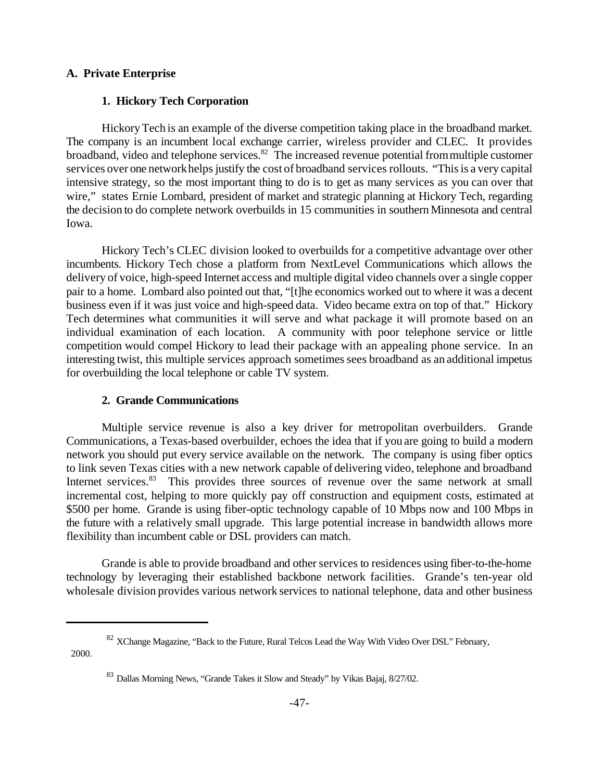#### **A. Private Enterprise**

#### **1. Hickory Tech Corporation**

HickoryTech is an example of the diverse competition taking place in the broadband market. The company is an incumbent local exchange carrier, wireless provider and CLEC. It provides broadband, video and telephone services.<sup>82</sup> The increased revenue potential from multiple customer services over one networkhelps justify the cost of broadband services rollouts. "This is a very capital intensive strategy, so the most important thing to do is to get as many services as you can over that wire," states Ernie Lombard, president of market and strategic planning at Hickory Tech, regarding the decision to do complete network overbuilds in 15 communities in southernMinnesota and central Iowa.

Hickory Tech's CLEC division looked to overbuilds for a competitive advantage over other incumbents. Hickory Tech chose a platform from NextLevel Communications which allows the delivery of voice, high-speed Internet access and multiple digital video channels over a single copper pair to a home. Lombard also pointed out that, "[t]he economics worked out to where it was a decent business even if it was just voice and high-speed data. Video became extra on top of that." Hickory Tech determines what communities it will serve and what package it will promote based on an individual examination of each location. A community with poor telephone service or little competition would compel Hickory to lead their package with an appealing phone service. In an interesting twist, this multiple services approach sometimes sees broadband as an additional impetus for overbuilding the local telephone or cable TV system.

#### **2. Grande Communications**

Multiple service revenue is also a key driver for metropolitan overbuilders. Grande Communications, a Texas-based overbuilder, echoes the idea that if you are going to build a modern network you should put every service available on the network. The company is using fiber optics to link seven Texas cities with a new network capable of delivering video, telephone and broadband Internet services.<sup>83</sup> This provides three sources of revenue over the same network at small incremental cost, helping to more quickly pay off construction and equipment costs, estimated at \$500 per home. Grande is using fiber-optic technology capable of 10 Mbps now and 100 Mbps in the future with a relatively small upgrade. This large potential increase in bandwidth allows more flexibility than incumbent cable or DSL providers can match.

Grande is able to provide broadband and other services to residences using fiber-to-the-home technology by leveraging their established backbone network facilities. Grande's ten-year old wholesale division provides various network services to national telephone, data and other business

2000.

<sup>&</sup>lt;sup>82</sup> XChange Magazine, "Back to the Future, Rural Telcos Lead the Way With Video Over DSL" February,

<sup>&</sup>lt;sup>83</sup> Dallas Morning News, "Grande Takes it Slow and Steady" by Vikas Bajaj, 8/27/02.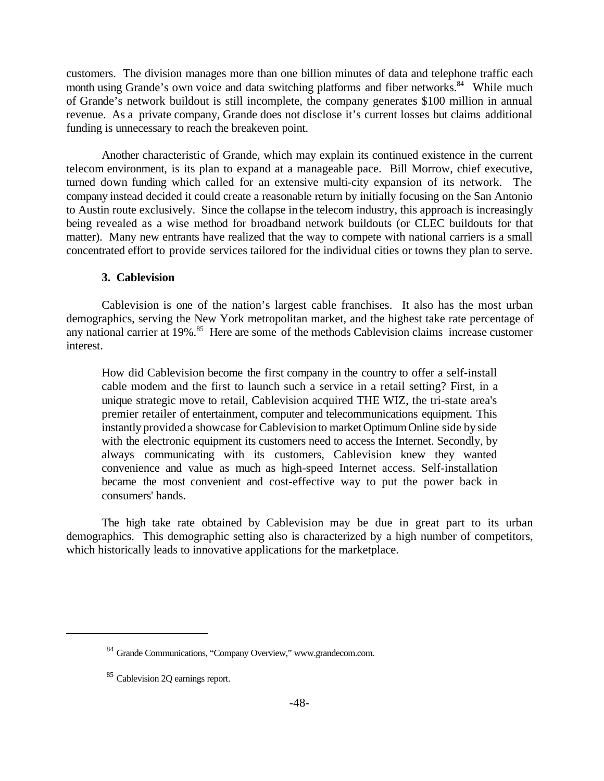customers. The division manages more than one billion minutes of data and telephone traffic each month using Grande's own voice and data switching platforms and fiber networks.<sup>84</sup> While much of Grande's network buildout is still incomplete, the company generates \$100 million in annual revenue. As a private company, Grande does not disclose it's current losses but claims additional funding is unnecessary to reach the breakeven point.

Another characteristic of Grande, which may explain its continued existence in the current telecom environment, is its plan to expand at a manageable pace. Bill Morrow, chief executive, turned down funding which called for an extensive multi-city expansion of its network. The company instead decided it could create a reasonable return by initially focusing on the San Antonio to Austin route exclusively. Since the collapse in the telecom industry, this approach is increasingly being revealed as a wise method for broadband network buildouts (or CLEC buildouts for that matter). Many new entrants have realized that the way to compete with national carriers is a small concentrated effort to provide services tailored for the individual cities or towns they plan to serve.

#### **3. Cablevision**

Cablevision is one of the nation's largest cable franchises. It also has the most urban demographics, serving the New York metropolitan market, and the highest take rate percentage of any national carrier at  $19\%$ <sup>85</sup>. Here are some of the methods Cablevision claims increase customer interest.

How did Cablevision become the first company in the country to offer a self-install cable modem and the first to launch such a service in a retail setting? First, in a unique strategic move to retail, Cablevision acquired THE WIZ, the tri-state area's premier retailer of entertainment, computer and telecommunications equipment. This instantly provided a showcase for Cablevision to market Optimum Online side by side with the electronic equipment its customers need to access the Internet. Secondly, by always communicating with its customers, Cablevision knew they wanted convenience and value as much as high-speed Internet access. Self-installation became the most convenient and cost-effective way to put the power back in consumers' hands.

The high take rate obtained by Cablevision may be due in great part to its urban demographics. This demographic setting also is characterized by a high number of competitors, which historically leads to innovative applications for the marketplace.

<sup>84</sup> Grande Communications, "Company Overview," www.grandecom.com.

<sup>&</sup>lt;sup>85</sup> Cablevision 2Q earnings report.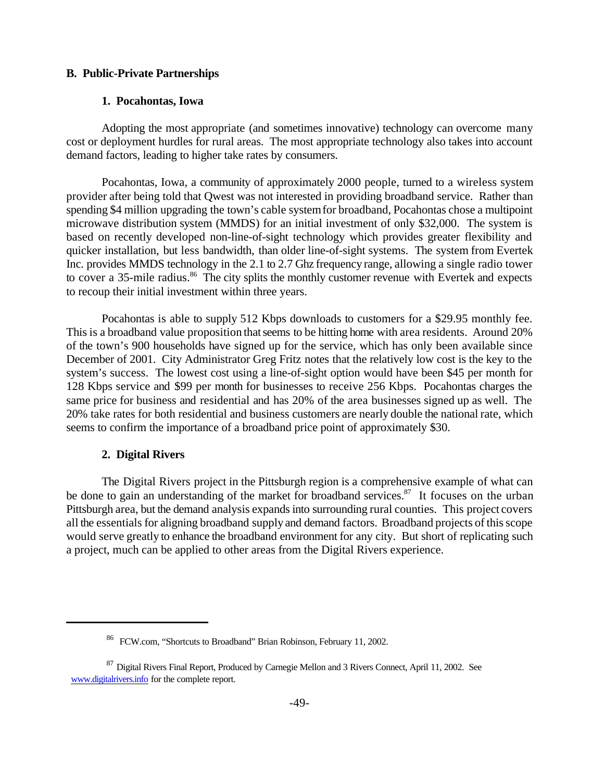#### **B. Public-Private Partnerships**

#### **1. Pocahontas, Iowa**

Adopting the most appropriate (and sometimes innovative) technology can overcome many cost or deployment hurdles for rural areas. The most appropriate technology also takes into account demand factors, leading to higher take rates by consumers.

Pocahontas, Iowa, a community of approximately 2000 people, turned to a wireless system provider after being told that Qwest was not interested in providing broadband service. Rather than spending \$4 million upgrading the town's cable systemfor broadband, Pocahontas chose a multipoint microwave distribution system (MMDS) for an initial investment of only \$32,000. The system is based on recently developed non-line-of-sight technology which provides greater flexibility and quicker installation, but less bandwidth, than older line-of-sight systems. The system from Evertek Inc. provides MMDS technology in the 2.1 to 2.7 Ghz frequency range, allowing a single radio tower to cover a 35-mile radius.<sup>86</sup> The city splits the monthly customer revenue with Evertek and expects to recoup their initial investment within three years.

Pocahontas is able to supply 512 Kbps downloads to customers for a \$29.95 monthly fee. This is a broadband value proposition that seems to be hitting home with area residents. Around 20% of the town's 900 households have signed up for the service, which has only been available since December of 2001. City Administrator Greg Fritz notes that the relatively low cost is the key to the system's success. The lowest cost using a line-of-sight option would have been \$45 per month for 128 Kbps service and \$99 per month for businesses to receive 256 Kbps. Pocahontas charges the same price for business and residential and has 20% of the area businesses signed up as well. The 20% take rates for both residential and business customers are nearly double the national rate, which seems to confirm the importance of a broadband price point of approximately \$30.

#### **2. Digital Rivers**

The Digital Rivers project in the Pittsburgh region is a comprehensive example of what can be done to gain an understanding of the market for broadband services.<sup>87</sup> It focuses on the urban Pittsburgh area, but the demand analysis expandsinto surrounding rural counties. This project covers all the essentials for aligning broadband supply and demand factors. Broadband projects of this scope would serve greatly to enhance the broadband environment for any city. But short of replicating such a project, much can be applied to other areas from the Digital Rivers experience.

<sup>&</sup>lt;sup>86</sup> FCW.com, "Shortcuts to Broadband" Brian Robinson, February 11, 2002.

<sup>&</sup>lt;sup>87</sup> Digital Rivers Final Report, Produced by Carnegie Mellon and 3 Rivers Connect, April 11, 2002. See www.digitalrivers.info for the complete report.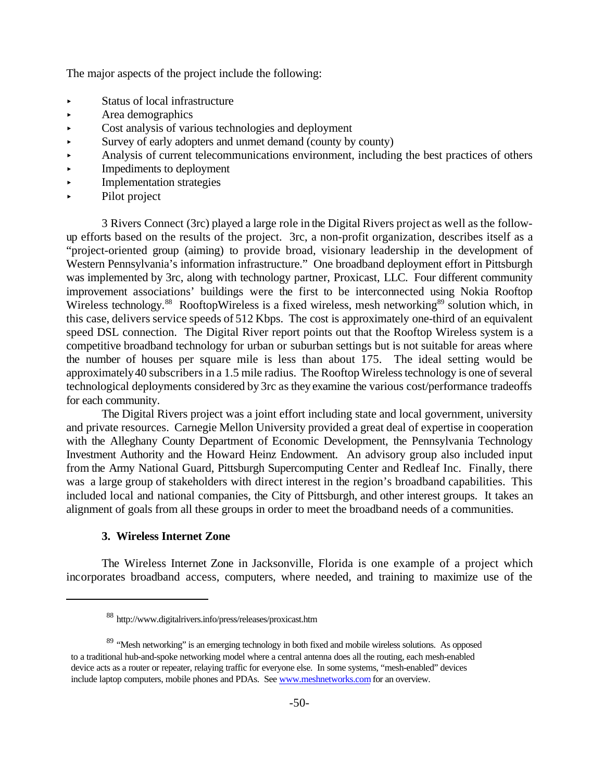The major aspects of the project include the following:

- < Status of local infrastructure
- < Area demographics
- Cost analysis of various technologies and deployment
- Survey of early adopters and unmet demand (county by county)
- < Analysis of current telecommunications environment, including the best practices of others
- < Impediments to deployment
- < Implementation strategies
- < Pilot project

3 Rivers Connect (3rc) played a large role in the Digital Rivers project as well as the followup efforts based on the results of the project. 3rc, a non-profit organization, describes itself as a "project-oriented group (aiming) to provide broad, visionary leadership in the development of Western Pennsylvania's information infrastructure." One broadband deployment effort in Pittsburgh was implemented by 3rc, along with technology partner, Proxicast, LLC. Four different community improvement associations' buildings were the first to be interconnected using Nokia Rooftop Wireless technology.<sup>88</sup> RooftopWireless is a fixed wireless, mesh networking<sup>89</sup> solution which, in this case, delivers service speeds of 512 Kbps. The cost is approximately one-third of an equivalent speed DSL connection. The Digital River report points out that the Rooftop Wireless system is a competitive broadband technology for urban or suburban settings but is not suitable for areas where the number of houses per square mile is less than about 175. The ideal setting would be approximately40 subscribers in a 1.5 mile radius. The Rooftop Wireless technology is one of several technological deployments considered by 3rc as they examine the various cost/performance tradeoffs for each community.

The Digital Rivers project was a joint effort including state and local government, university and private resources. Carnegie Mellon University provided a great deal of expertise in cooperation with the Alleghany County Department of Economic Development, the Pennsylvania Technology Investment Authority and the Howard Heinz Endowment. An advisory group also included input from the Army National Guard, Pittsburgh Supercomputing Center and Redleaf Inc. Finally, there was a large group of stakeholders with direct interest in the region's broadband capabilities. This included local and national companies, the City of Pittsburgh, and other interest groups. It takes an alignment of goals from all these groups in order to meet the broadband needs of a communities.

#### **3. Wireless Internet Zone**

The Wireless Internet Zone in Jacksonville, Florida is one example of a project which incorporates broadband access, computers, where needed, and training to maximize use of the

<sup>88</sup> http://www.digitalrivers.info/press/releases/proxicast.htm

<sup>&</sup>lt;sup>89</sup> "Mesh networking" is an emerging technology in both fixed and mobile wireless solutions. As opposed to a traditional hub-and-spoke networking model where a central antenna does all the routing, each mesh-enabled device acts as a router or repeater, relaying traffic for everyone else. In some systems, "mesh-enabled" devices include laptop computers, mobile phones and PDAs. See www.meshnetworks.com for an overview.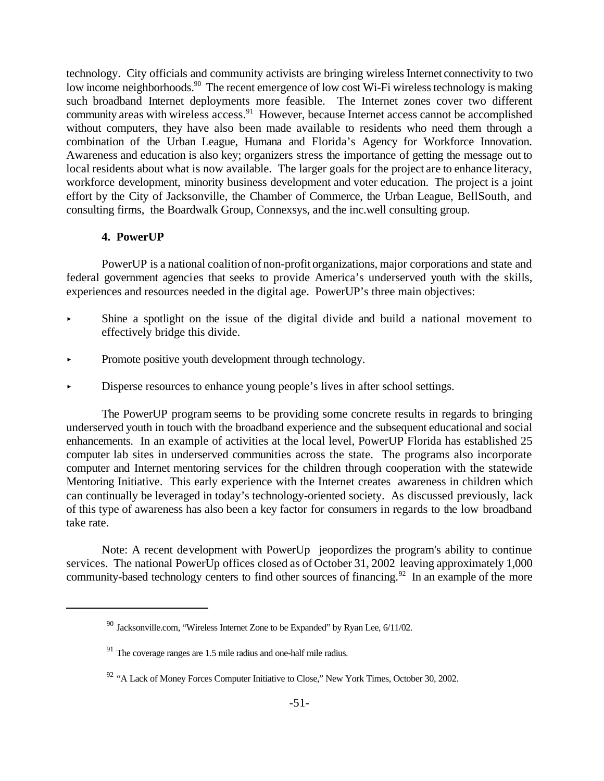technology. City officials and community activists are bringing wireless Internet connectivity to two low income neighborhoods.<sup>90</sup> The recent emergence of low cost Wi-Fi wireless technology is making such broadband Internet deployments more feasible. The Internet zones cover two different community areas with wireless access.<sup>91</sup> However, because Internet access cannot be accomplished without computers, they have also been made available to residents who need them through a combination of the Urban League, Humana and Florida's Agency for Workforce Innovation. Awareness and education is also key; organizers stress the importance of getting the message out to local residents about what is now available. The larger goals for the project are to enhance literacy, workforce development, minority business development and voter education. The project is a joint effort by the City of Jacksonville, the Chamber of Commerce, the Urban League, BellSouth, and consulting firms, the Boardwalk Group, Connexsys, and the inc.well consulting group.

#### **4. PowerUP**

PowerUP is a national coalition of non-profit organizations, major corporations and state and federal government agencies that seeks to provide America's underserved youth with the skills, experiences and resources needed in the digital age. PowerUP's three main objectives:

- < Shine a spotlight on the issue of the digital divide and build a national movement to effectively bridge this divide.
- Promote positive youth development through technology.
- < Disperse resources to enhance young people's lives in after school settings.

The PowerUP program seems to be providing some concrete results in regards to bringing underserved youth in touch with the broadband experience and the subsequent educational and social enhancements. In an example of activities at the local level, PowerUP Florida has established 25 computer lab sites in underserved communities across the state. The programs also incorporate computer and Internet mentoring services for the children through cooperation with the statewide Mentoring Initiative. This early experience with the Internet creates awareness in children which can continually be leveraged in today's technology-oriented society. As discussed previously, lack of this type of awareness has also been a key factor for consumers in regards to the low broadband take rate.

Note: A recent development with PowerUp jeopordizes the program's ability to continue services. The national PowerUp offices closed as of October 31, 2002 leaving approximately 1,000 community-based technology centers to find other sources of financing.<sup>92</sup> In an example of the more

 $90$  Jacksonville.com, "Wireless Internet Zone to be Expanded" by Ryan Lee,  $6/11/02$ .

 $91$  The coverage ranges are 1.5 mile radius and one-half mile radius.

<sup>&</sup>lt;sup>92</sup> "A Lack of Money Forces Computer Initiative to Close," New York Times, October 30, 2002.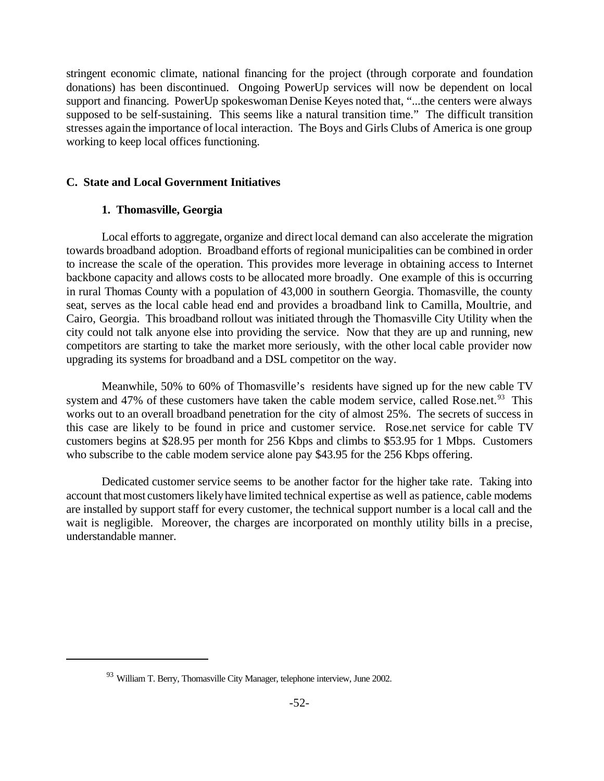stringent economic climate, national financing for the project (through corporate and foundation donations) has been discontinued. Ongoing PowerUp services will now be dependent on local support and financing. PowerUp spokeswoman Denise Keyes noted that, "...the centers were always supposed to be self-sustaining. This seems like a natural transition time." The difficult transition stresses again the importance of local interaction. The Boys and Girls Clubs of America is one group working to keep local offices functioning.

#### **C. State and Local Government Initiatives**

#### **1. Thomasville, Georgia**

Local efforts to aggregate, organize and direct local demand can also accelerate the migration towards broadband adoption. Broadband efforts of regional municipalities can be combined in order to increase the scale of the operation. This provides more leverage in obtaining access to Internet backbone capacity and allows costs to be allocated more broadly. One example of this is occurring in rural Thomas County with a population of 43,000 in southern Georgia. Thomasville, the county seat, serves as the local cable head end and provides a broadband link to Camilla, Moultrie, and Cairo, Georgia. This broadband rollout was initiated through the Thomasville City Utility when the city could not talk anyone else into providing the service. Now that they are up and running, new competitors are starting to take the market more seriously, with the other local cable provider now upgrading its systems for broadband and a DSL competitor on the way.

Meanwhile, 50% to 60% of Thomasville's residents have signed up for the new cable TV system and 47% of these customers have taken the cable modem service, called Rose.net.<sup>93</sup> This works out to an overall broadband penetration for the city of almost 25%. The secrets of success in this case are likely to be found in price and customer service. Rose.net service for cable TV customers begins at \$28.95 per month for 256 Kbps and climbs to \$53.95 for 1 Mbps. Customers who subscribe to the cable modem service alone pay \$43.95 for the 256 Kbps offering.

Dedicated customer service seems to be another factor for the higher take rate. Taking into account that most customers likely have limited technical expertise as well as patience, cable modems are installed by support staff for every customer, the technical support number is a local call and the wait is negligible. Moreover, the charges are incorporated on monthly utility bills in a precise, understandable manner.

<sup>&</sup>lt;sup>93</sup> William T. Berry, Thomasville City Manager, telephone interview, June 2002.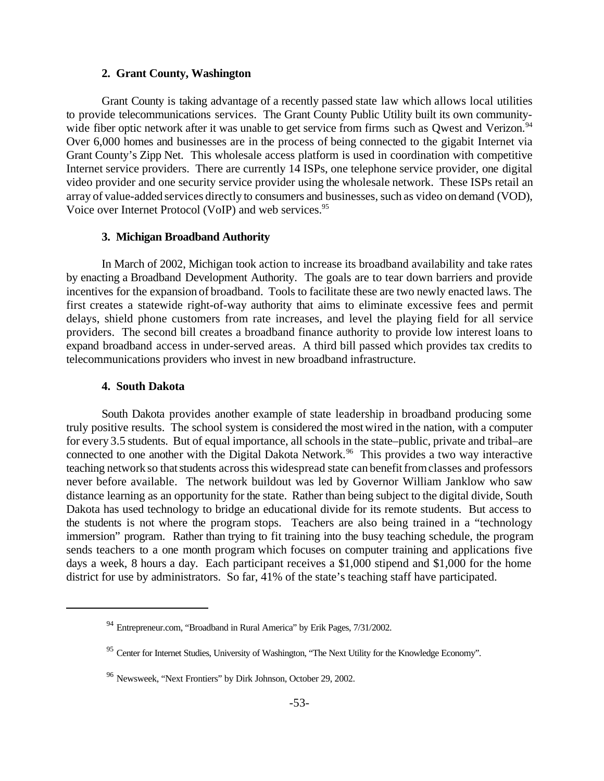#### **2. Grant County, Washington**

Grant County is taking advantage of a recently passed state law which allows local utilities to provide telecommunications services. The Grant County Public Utility built its own communitywide fiber optic network after it was unable to get service from firms such as Qwest and Verizon.<sup>94</sup> Over 6,000 homes and businesses are in the process of being connected to the gigabit Internet via Grant County's Zipp Net. This wholesale access platform is used in coordination with competitive Internet service providers. There are currently 14 ISPs, one telephone service provider, one digital video provider and one security service provider using the wholesale network. These ISPs retail an array of value-added services directly to consumers and businesses, such as video on demand (VOD), Voice over Internet Protocol (VoIP) and web services.<sup>95</sup>

#### **3. Michigan Broadband Authority**

In March of 2002, Michigan took action to increase its broadband availability and take rates by enacting a Broadband Development Authority. The goals are to tear down barriers and provide incentives for the expansion of broadband. Tools to facilitate these are two newly enacted laws. The first creates a statewide right-of-way authority that aims to eliminate excessive fees and permit delays, shield phone customers from rate increases, and level the playing field for all service providers. The second bill creates a broadband finance authority to provide low interest loans to expand broadband access in under-served areas. A third bill passed which provides tax credits to telecommunications providers who invest in new broadband infrastructure.

#### **4. South Dakota**

South Dakota provides another example of state leadership in broadband producing some truly positive results. The school system is considered the mostwired in the nation, with a computer for every 3.5 students. But of equal importance, all schools in the state–public, private and tribal–are connected to one another with the Digital Dakota Network.<sup>96</sup> This provides a two way interactive teaching network so that students across this widespread state can benefit from classes and professors never before available. The network buildout was led by Governor William Janklow who saw distance learning as an opportunity for the state. Rather than being subject to the digital divide, South Dakota has used technology to bridge an educational divide for its remote students. But access to the students is not where the program stops. Teachers are also being trained in a "technology immersion" program. Rather than trying to fit training into the busy teaching schedule, the program sends teachers to a one month program which focuses on computer training and applications five days a week, 8 hours a day. Each participant receives a \$1,000 stipend and \$1,000 for the home district for use by administrators. So far, 41% of the state's teaching staff have participated.

<sup>94</sup> Entrepreneur.com, "Broadband in Rural America" by Erik Pages, 7/31/2002.

<sup>&</sup>lt;sup>95</sup> Center for Internet Studies, University of Washington, "The Next Utility for the Knowledge Economy".

<sup>96</sup> Newsweek, "Next Frontiers" by Dirk Johnson, October 29, 2002.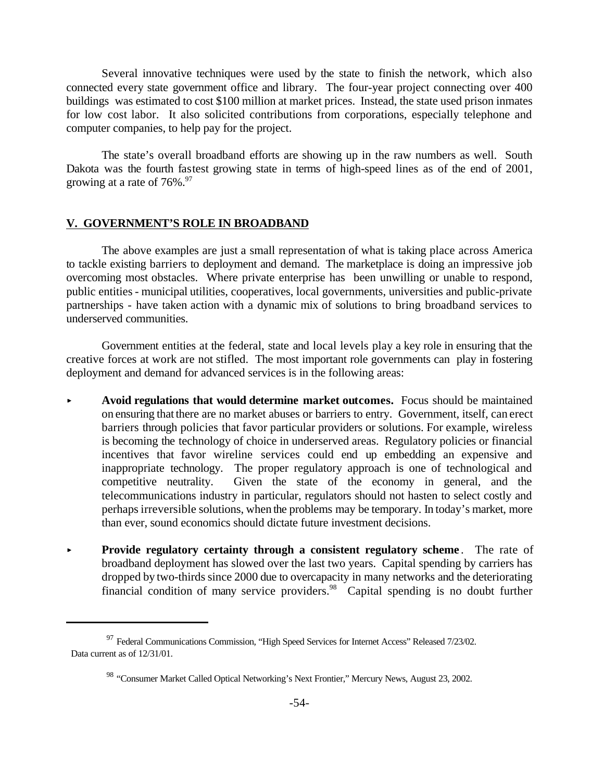Several innovative techniques were used by the state to finish the network, which also connected every state government office and library. The four-year project connecting over 400 buildings was estimated to cost \$100 million at market prices. Instead, the state used prison inmates for low cost labor. It also solicited contributions from corporations, especially telephone and computer companies, to help pay for the project.

The state's overall broadband efforts are showing up in the raw numbers as well. South Dakota was the fourth fastest growing state in terms of high-speed lines as of the end of 2001, growing at a rate of  $76\%$ .<sup>97</sup>

#### **V. GOVERNMENT'S ROLE IN BROADBAND**

The above examples are just a small representation of what is taking place across America to tackle existing barriers to deployment and demand. The marketplace is doing an impressive job overcoming most obstacles. Where private enterprise has been unwilling or unable to respond, public entities - municipal utilities, cooperatives, local governments, universities and public-private partnerships - have taken action with a dynamic mix of solutions to bring broadband services to underserved communities.

Government entities at the federal, state and local levels play a key role in ensuring that the creative forces at work are not stifled. The most important role governments can play in fostering deployment and demand for advanced services is in the following areas:

- **< Avoid regulations that would determine market outcomes.** Focus should be maintained on ensuring thatthere are no market abuses or barriers to entry. Government, itself, can erect barriers through policies that favor particular providers or solutions. For example, wireless is becoming the technology of choice in underserved areas. Regulatory policies or financial incentives that favor wireline services could end up embedding an expensive and inappropriate technology. The proper regulatory approach is one of technological and competitive neutrality. Given the state of the economy in general, and the telecommunications industry in particular, regulators should not hasten to select costly and perhaps irreversible solutions, when the problems may be temporary. In today's market, more than ever, sound economics should dictate future investment decisions.
- **Provide regulatory certainty through a consistent regulatory scheme.** The rate of broadband deployment has slowed over the last two years. Capital spending by carriers has dropped by two-thirds since 2000 due to overcapacity in many networks and the deteriorating financial condition of many service providers.<sup>98</sup> Capital spending is no doubt further

<sup>&</sup>lt;sup>97</sup> Federal Communications Commission, "High Speed Services for Internet Access" Released 7/23/02. Data current as of 12/31/01.

<sup>&</sup>lt;sup>98</sup> "Consumer Market Called Optical Networking's Next Frontier," Mercury News, August 23, 2002.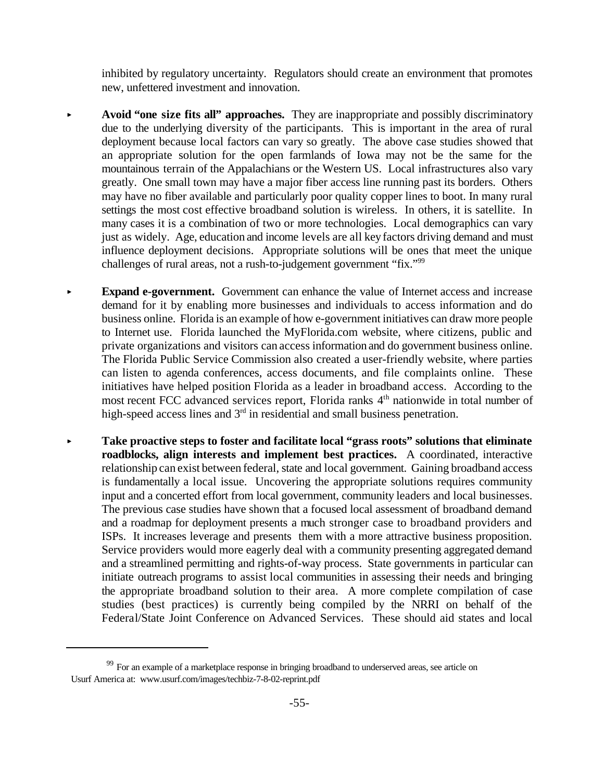inhibited by regulatory uncertainty. Regulators should create an environment that promotes new, unfettered investment and innovation.

- **< Avoid "one size fits all" approaches.** They are inappropriate and possibly discriminatory due to the underlying diversity of the participants. This is important in the area of rural deployment because local factors can vary so greatly. The above case studies showed that an appropriate solution for the open farmlands of Iowa may not be the same for the mountainous terrain of the Appalachians or the Western US. Local infrastructures also vary greatly. One small town may have a major fiber access line running past its borders. Others may have no fiber available and particularly poor quality copper lines to boot. In many rural settings the most cost effective broadband solution is wireless. In others, it is satellite. In many cases it is a combination of two or more technologies. Local demographics can vary just as widely. Age, education and income levels are all key factors driving demand and must influence deployment decisions. Appropriate solutions will be ones that meet the unique challenges of rural areas, not a rush-to-judgement government "fix."<sup>99</sup>
	- **Expand e-government.** Government can enhance the value of Internet access and increase demand for it by enabling more businesses and individuals to access information and do business online. Florida is an example of how e-government initiatives can draw more people to Internet use. Florida launched the MyFlorida.com website, where citizens, public and private organizations and visitors can access information and do government business online. The Florida Public Service Commission also created a user-friendly website, where parties can listen to agenda conferences, access documents, and file complaints online. These initiatives have helped position Florida as a leader in broadband access. According to the most recent FCC advanced services report, Florida ranks 4<sup>th</sup> nationwide in total number of high-speed access lines and 3<sup>rd</sup> in residential and small business penetration.
- **< Take proactive steps to foster and facilitate local "grass roots" solutions that eliminate roadblocks, align interests and implement best practices.** A coordinated, interactive relationship can exist between federal, state and local government. Gaining broadband access is fundamentally a local issue. Uncovering the appropriate solutions requires community input and a concerted effort from local government, community leaders and local businesses. The previous case studies have shown that a focused local assessment of broadband demand and a roadmap for deployment presents a much stronger case to broadband providers and ISPs. It increases leverage and presents them with a more attractive business proposition. Service providers would more eagerly deal with a community presenting aggregated demand and a streamlined permitting and rights-of-way process. State governments in particular can initiate outreach programs to assist local communities in assessing their needs and bringing the appropriate broadband solution to their area. A more complete compilation of case studies (best practices) is currently being compiled by the NRRI on behalf of the Federal/State Joint Conference on Advanced Services. These should aid states and local

<sup>&</sup>lt;sup>99</sup> For an example of a marketplace response in bringing broadband to underserved areas, see article on Usurf America at: www.usurf.com/images/techbiz-7-8-02-reprint.pdf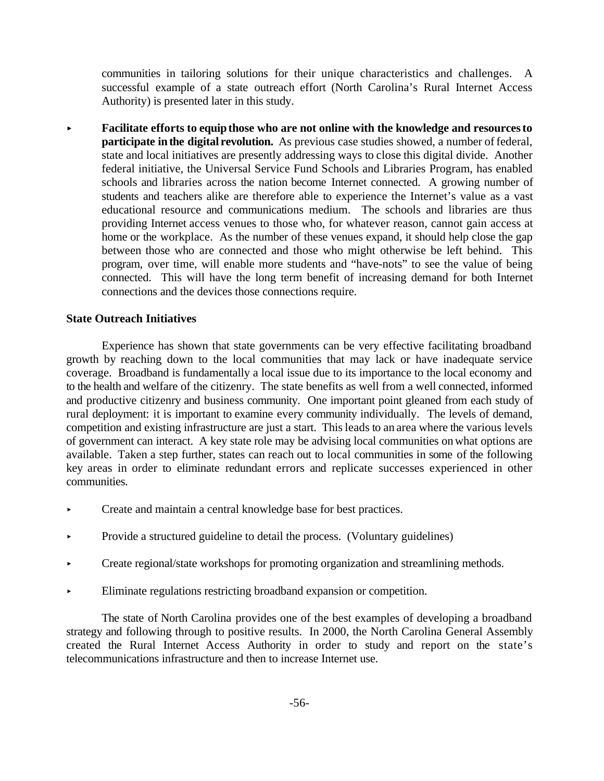communities in tailoring solutions for their unique characteristics and challenges. A successful example of a state outreach effort (North Carolina's Rural Internet Access Authority) is presented later in this study.

**< Facilitate efforts to equipthose who are not online with the knowledge and resourcesto participate** in the **digital revolution.** As previous case studies showed, a number of federal, state and local initiatives are presently addressing ways to close this digital divide. Another federal initiative, the Universal Service Fund Schools and Libraries Program, has enabled schools and libraries across the nation become Internet connected. A growing number of students and teachers alike are therefore able to experience the Internet's value as a vast educational resource and communications medium. The schools and libraries are thus providing Internet access venues to those who, for whatever reason, cannot gain access at home or the workplace. As the number of these venues expand, it should help close the gap between those who are connected and those who might otherwise be left behind. This program, over time, will enable more students and "have-nots" to see the value of being connected. This will have the long term benefit of increasing demand for both Internet connections and the devices those connections require.

#### **State Outreach Initiatives**

Experience has shown that state governments can be very effective facilitating broadband growth by reaching down to the local communities that may lack or have inadequate service coverage. Broadband is fundamentally a local issue due to its importance to the local economy and to the health and welfare of the citizenry. The state benefits as well from a well connected, informed and productive citizenry and business community. One important point gleaned from each study of rural deployment: it is important to examine every community individually. The levels of demand, competition and existing infrastructure are just a start. Thisleads to an area where the various levels of government can interact. A key state role may be advising local communities onwhat options are available. Taken a step further, states can reach out to local communities in some of the following key areas in order to eliminate redundant errors and replicate successes experienced in other communities.

- < Create and maintain a central knowledge base for best practices.
- < Provide a structured guideline to detail the process. (Voluntary guidelines)
- < Create regional/state workshops for promoting organization and streamlining methods.
- Eliminate regulations restricting broadband expansion or competition.

The state of North Carolina provides one of the best examples of developing a broadband strategy and following through to positive results. In 2000, the North Carolina General Assembly created the Rural Internet Access Authority in order to study and report on the state's telecommunications infrastructure and then to increase Internet use.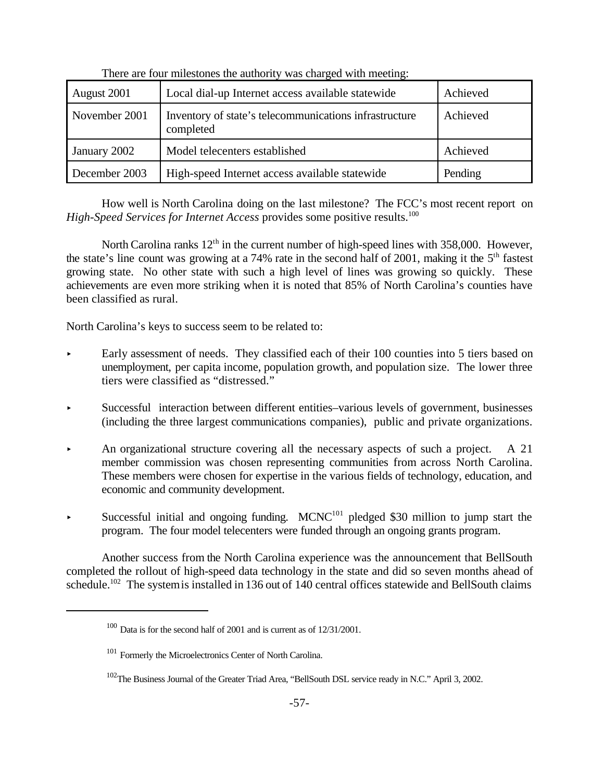| August 2001   | Local dial-up Internet access available statewide                   | Achieved |
|---------------|---------------------------------------------------------------------|----------|
| November 2001 | Inventory of state's telecommunications infrastructure<br>completed | Achieved |
| January 2002  | Model telecenters established                                       | Achieved |
| December 2003 | High-speed Internet access available statewide                      | Pending  |

There are four milestones the authority was charged with meeting:

How well is North Carolina doing on the last milestone? The FCC's most recent report on *High-Speed Services for Internet Access* provides some positive results.<sup>100</sup>

North Carolina ranks 12<sup>th</sup> in the current number of high-speed lines with 358,000. However, the state's line count was growing at a 74% rate in the second half of 2001, making it the 5<sup>th</sup> fastest growing state. No other state with such a high level of lines was growing so quickly. These achievements are even more striking when it is noted that 85% of North Carolina's counties have been classified as rural.

North Carolina's keys to success seem to be related to:

- Early assessment of needs. They classified each of their  $100$  counties into 5 tiers based on unemployment, per capita income, population growth, and population size. The lower three tiers were classified as "distressed."
- Successful interaction between different entities–various levels of government, businesses (including the three largest communications companies), public and private organizations.
- An organizational structure covering all the necessary aspects of such a project. A 21 member commission was chosen representing communities from across North Carolina. These members were chosen for expertise in the various fields of technology, education, and economic and community development.
- Successful initial and ongoing funding. MCNC<sup>101</sup> pledged \$30 million to jump start the program. The four model telecenters were funded through an ongoing grants program.

Another success from the North Carolina experience was the announcement that BellSouth completed the rollout of high-speed data technology in the state and did so seven months ahead of schedule.<sup>102</sup> The systemis installed in 136 out of 140 central offices statewide and BellSouth claims

<sup>100</sup> Data is for the second half of 2001 and is current as of 12/31/2001.

<sup>&</sup>lt;sup>101</sup> Formerly the Microelectronics Center of North Carolina.

<sup>&</sup>lt;sup>102</sup>The Business Journal of the Greater Triad Area, "BellSouth DSL service ready in N.C." April 3, 2002.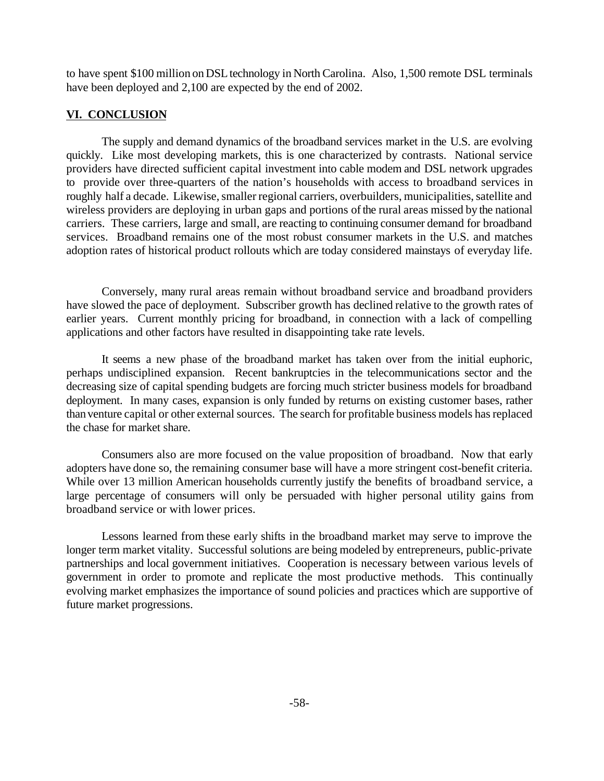to have spent \$100 million on DSL technology in North Carolina. Also, 1,500 remote DSL terminals have been deployed and 2,100 are expected by the end of 2002.

## **VI. CONCLUSION**

The supply and demand dynamics of the broadband services market in the U.S. are evolving quickly. Like most developing markets, this is one characterized by contrasts. National service providers have directed sufficient capital investment into cable modem and DSL network upgrades to provide over three-quarters of the nation's households with access to broadband services in roughly half a decade. Likewise, smaller regional carriers, overbuilders, municipalities, satellite and wireless providers are deploying in urban gaps and portions of the rural areas missed by the national carriers. These carriers, large and small, are reacting to continuing consumer demand for broadband services. Broadband remains one of the most robust consumer markets in the U.S. and matches adoption rates of historical product rollouts which are today considered mainstays of everyday life.

Conversely, many rural areas remain without broadband service and broadband providers have slowed the pace of deployment. Subscriber growth has declined relative to the growth rates of earlier years. Current monthly pricing for broadband, in connection with a lack of compelling applications and other factors have resulted in disappointing take rate levels.

It seems a new phase of the broadband market has taken over from the initial euphoric, perhaps undisciplined expansion. Recent bankruptcies in the telecommunications sector and the decreasing size of capital spending budgets are forcing much stricter business models for broadband deployment. In many cases, expansion is only funded by returns on existing customer bases, rather than venture capital or other external sources. The search for profitable business models has replaced the chase for market share.

Consumers also are more focused on the value proposition of broadband. Now that early adopters have done so, the remaining consumer base will have a more stringent cost-benefit criteria. While over 13 million American households currently justify the benefits of broadband service, a large percentage of consumers will only be persuaded with higher personal utility gains from broadband service or with lower prices.

Lessons learned from these early shifts in the broadband market may serve to improve the longer term market vitality. Successful solutions are being modeled by entrepreneurs, public-private partnerships and local government initiatives. Cooperation is necessary between various levels of government in order to promote and replicate the most productive methods. This continually evolving market emphasizes the importance of sound policies and practices which are supportive of future market progressions.